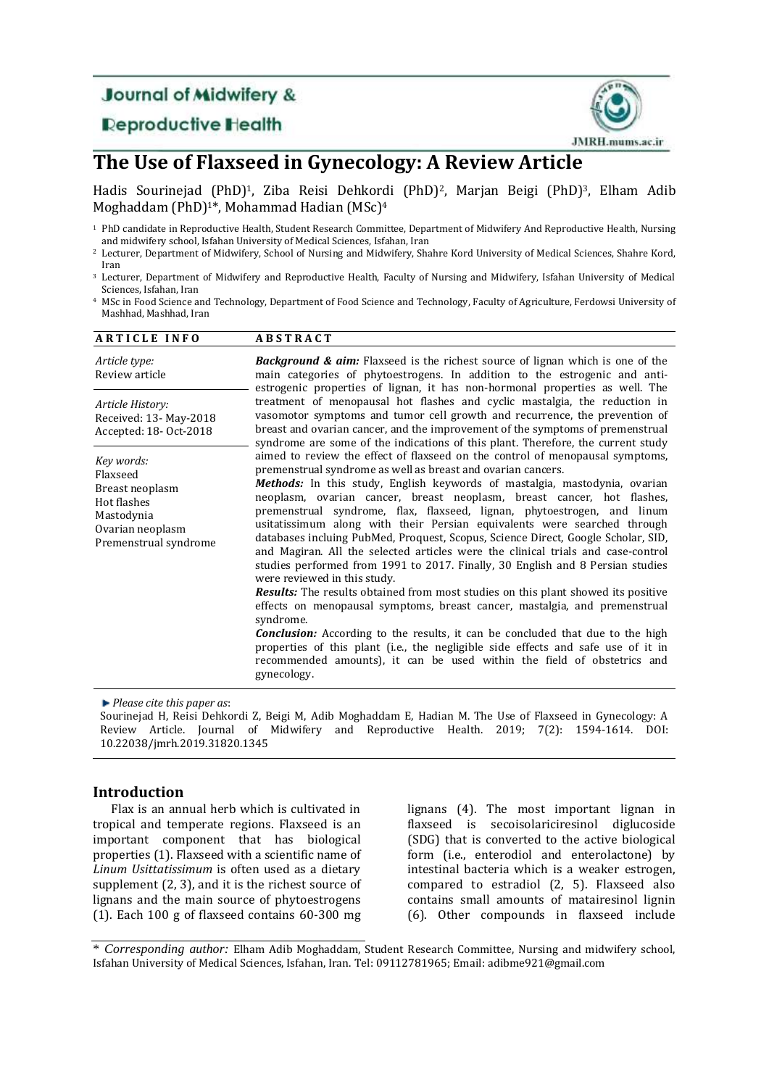# **Journal of Midwifery &**

## **Deproductive Health**



## **The Use of Flaxseed in Gynecology: A Review Article**

Hadis Sourinejad (PhD)<sup>1</sup>, Ziba Reisi Dehkordi (PhD)<sup>2</sup>, Marjan Beigi (PhD)<sup>3</sup>, Elham Adib Moghaddam (PhD)1\*, Mohammad Hadian (MSc)<sup>4</sup>

- <sup>2</sup> Lecturer, Department of Midwifery, School of Nursing and Midwifery, Shahre Kord University of Medical Sciences, Shahre Kord, Iran
- <sup>3</sup> Lecturer, Department of Midwifery and Reproductive Health, Faculty of Nursing and Midwifery, Isfahan University of Medical Sciences, Isfahan, Iran
- <sup>4</sup> MSc in Food Science and Technology, Department of Food Science and Technology, Faculty of Agriculture, Ferdowsi University of Mashhad, Mashhad, Iran

| <b>ARTICLE INFO</b>                                                                                                 | <b>ABSTRACT</b>                                                                                                                                                                                                                                                                                                                                                                                                                                                                                                                                                                                                                                                                                                                                                                                                                                                                                                                                                                                                                                                                                                                                                                                                        |
|---------------------------------------------------------------------------------------------------------------------|------------------------------------------------------------------------------------------------------------------------------------------------------------------------------------------------------------------------------------------------------------------------------------------------------------------------------------------------------------------------------------------------------------------------------------------------------------------------------------------------------------------------------------------------------------------------------------------------------------------------------------------------------------------------------------------------------------------------------------------------------------------------------------------------------------------------------------------------------------------------------------------------------------------------------------------------------------------------------------------------------------------------------------------------------------------------------------------------------------------------------------------------------------------------------------------------------------------------|
| Article type:<br>Review article                                                                                     | <b>Background &amp; aim:</b> Flaxseed is the richest source of lignan which is one of the<br>main categories of phytoestrogens. In addition to the estrogenic and anti-<br>estrogenic properties of lignan, it has non-hormonal properties as well. The                                                                                                                                                                                                                                                                                                                                                                                                                                                                                                                                                                                                                                                                                                                                                                                                                                                                                                                                                                |
| Article History:<br>Received: 13- May-2018<br>Accepted: 18- Oct-2018                                                | treatment of menopausal hot flashes and cyclic mastalgia, the reduction in<br>vasomotor symptoms and tumor cell growth and recurrence, the prevention of<br>breast and ovarian cancer, and the improvement of the symptoms of premenstrual<br>syndrome are some of the indications of this plant. Therefore, the current study                                                                                                                                                                                                                                                                                                                                                                                                                                                                                                                                                                                                                                                                                                                                                                                                                                                                                         |
| Key words:<br>Flaxseed<br>Breast neoplasm<br>Hot flashes<br>Mastodynia<br>Ovarian neoplasm<br>Premenstrual syndrome | aimed to review the effect of flaxseed on the control of menopausal symptoms,<br>premenstrual syndrome as well as breast and ovarian cancers.<br><b>Methods:</b> In this study, English keywords of mastalgia, mastodynia, ovarian<br>neoplasm, ovarian cancer, breast neoplasm, breast cancer, hot flashes,<br>premenstrual syndrome, flax, flaxseed, lignan, phytoestrogen, and linum<br>usitatissimum along with their Persian equivalents were searched through<br>databases incluing PubMed, Proquest, Scopus, Science Direct, Google Scholar, SID,<br>and Magiran. All the selected articles were the clinical trials and case-control<br>studies performed from 1991 to 2017. Finally, 30 English and 8 Persian studies<br>were reviewed in this study.<br>Results: The results obtained from most studies on this plant showed its positive<br>effects on menopausal symptoms, breast cancer, mastalgia, and premenstrual<br>syndrome.<br><b>Conclusion:</b> According to the results, it can be concluded that due to the high<br>properties of this plant (i.e., the negligible side effects and safe use of it in<br>recommended amounts), it can be used within the field of obstetrics and<br>gynecology. |

*Please cite this paper as*:

Sourinejad H, Reisi Dehkordi Z, Beigi M, Adib Moghaddam E, Hadian M. The Use of Flaxseed in Gynecology: A Review Article. Journal of Midwifery and Reproductive Health. 2019; 7(2): 1594-1614. DOI: 10.22038/jmrh.2019.31820.1345

#### **Introduction**

Flax is an annual herb which is cultivated in tropical and temperate regions. Flaxseed is an important component that has biological properties [\(1\)](#page-17-0). Flaxseed with a scientific name of *Linum Usittatissimum* is often used as a dietary supplement [\(2,](#page-17-1) [3\)](#page-17-2), and it is the richest source of lignans and the main source of phytoestrogens [\(1\)](#page-17-0). Each 100 g of flaxseed contains 60-300 mg

lignans [\(4\)](#page-17-3). The most important lignan in flaxseed is secoisolariciresinol diglucoside (SDG) that is converted to the active biological form (i.e., enterodiol and enterolactone) by intestinal bacteria which is a weaker estrogen, compared to estradiol [\(2,](#page-17-1) [5\)](#page-18-0). Flaxseed also contains small amounts of matairesinol lignin [\(6\)](#page-18-1). Other compounds in flaxseed include

\* *Corresponding author:* Elham Adib Moghaddam, Student Research Committee, Nursing and midwifery school, Isfahan University of Medical Sciences, Isfahan, Iran. Tel: 09112781965; Email: adibme921@gmail.com

<sup>1</sup> PhD candidate in Reproductive Health, Student Research Committee, Department of Midwifery And Reproductive Health, Nursing and midwifery school, Isfahan University of Medical Sciences, Isfahan, Iran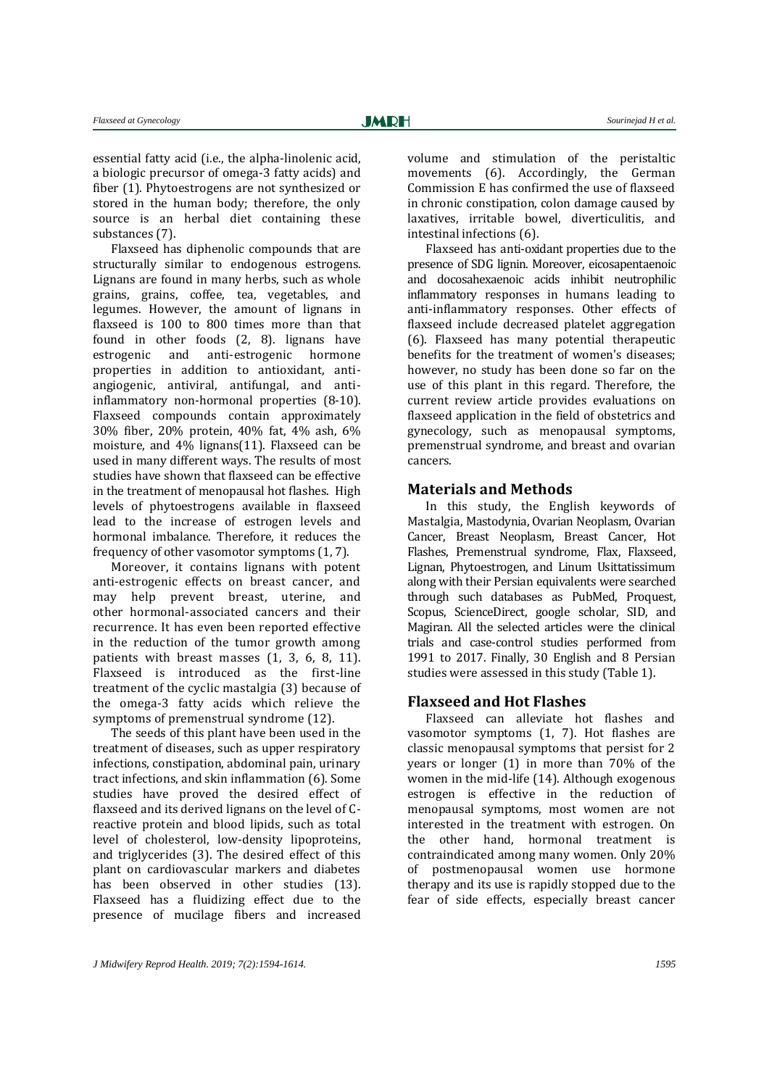essential fatty acid (i.e., the alpha-linolenic acid, a biologic precursor of omega-3 fatty acids) and fiber [\(1\)](#page-17-0). Phytoestrogens are not synthesized or stored in the human body; therefore, the only source is an herbal diet containing these substances [\(7\)](#page-18-2).

Flaxseed has diphenolic compounds that are structurally similar to endogenous estrogens. Lignans are found in many herbs, such as whole grains, grains, coffee, tea, vegetables, and legumes. However, the amount of lignans in flaxseed is 100 to 800 times more than that found in other foods [\(2,](#page-17-1) [8\)](#page-18-3). lignans have estrogenic and anti-estrogenic hormone properties in addition to antioxidant, antiangiogenic, antiviral, antifungal, and antiinflammatory non-hormonal properties [\(8-10\)](#page-18-3). Flaxseed compounds contain approximately 30% fiber, 20% protein, 40% fat, 4% ash, 6% moisture, and 4% lignans[\(11\)](#page-18-4). Flaxseed can be used in many different ways. The results of most studies have shown that flaxseed can be effective in the treatment of menopausal hot flashes. High levels of phytoestrogens available in flaxseed lead to the increase of estrogen levels and hormonal imbalance. Therefore, it reduces the frequency of other vasomotor symptoms [\(1,](#page-17-0) [7\)](#page-18-2).

Moreover, it contains lignans with potent anti-estrogenic effects on breast cancer, and may help prevent breast, uterine, and other hormonal-associated cancers and their recurrence. It has even been reported effective in the reduction of the tumor growth among patients with breast masses [\(1,](#page-17-0) [3,](#page-17-2) [6,](#page-18-1) [8,](#page-18-3) [11\)](#page-18-4). Flaxseed is introduced as the first-line treatment of the cyclic mastalgia [\(3\)](#page-17-2) because of the omega-3 fatty acids which relieve the symptoms of premenstrual syndrome [\(12\)](#page-18-5).

The seeds of this plant have been used in the treatment of diseases, such as upper respiratory infections, constipation, abdominal pain, urinary tract infections, and skin inflammation [\(6\)](#page-18-1). Some studies have proved the desired effect of flaxseed and its derived lignans on the level of Creactive protein and blood lipids, such as total level of cholesterol, low-density lipoproteins, and triglycerides [\(3\)](#page-17-2). The desired effect of this plant on cardiovascular markers and diabetes has been observed in other studies [\(13\)](#page-18-6). Flaxseed has a fluidizing effect due to the presence of mucilage fibers and increased

volume and stimulation of the peristaltic movements [\(6\)](#page-18-1). Accordingly, the German Commission E has confirmed the use of flaxseed in chronic constipation, colon damage caused by laxatives, irritable bowel, diverticulitis, and intestinal infections [\(6\)](#page-18-1).

Flaxseed has anti-oxidant properties due to the presence of SDG lignin. Moreover, eicosapentaenoic and docosahexaenoic acids inhibit neutrophilic inflammatory responses in humans leading to anti-inflammatory responses. Other effects of flaxseed include decreased platelet aggregation [\(6\)](#page-18-1). Flaxseed has many potential therapeutic benefits for the treatment of women's diseases; however, no study has been done so far on the use of this plant in this regard. Therefore, the current review article provides evaluations on flaxseed application in the field of obstetrics and gynecology, such as menopausal symptoms, premenstrual syndrome, and breast and ovarian cancers.

#### **Materials and Methods**

In this study, the English keywords of Mastalgia, Mastodynia, Ovarian Neoplasm, Ovarian Cancer, Breast Neoplasm, Breast Cancer, Hot Flashes, Premenstrual syndrome, Flax, Flaxseed, Lignan, Phytoestrogen, and Linum Usittatissimum along with their Persian equivalents were searched through such databases as PubMed, Proquest, Scopus, ScienceDirect, google scholar, SID, and Magiran. All the selected articles were the clinical trials and case-control studies performed from 1991 to 2017. Finally, 30 English and 8 Persian studies were assessed in this study (Table 1).

#### **Flaxseed and Hot Flashes**

Flaxseed can alleviate hot flashes and vasomotor symptoms [\(1,](#page-17-0) [7\)](#page-18-2). Hot flashes are classic menopausal symptoms that persist for 2 years or longer [\(1\)](#page-17-0) in more than 70% of the women in the mid-life [\(14\)](#page-18-7). Although exogenous estrogen is effective in the reduction of menopausal symptoms, most women are not interested in the treatment with estrogen. On the other hand, hormonal treatment is contraindicated among many women. Only 20% of postmenopausal women use hormone therapy and its use is rapidly stopped due to the fear of side effects, especially breast cancer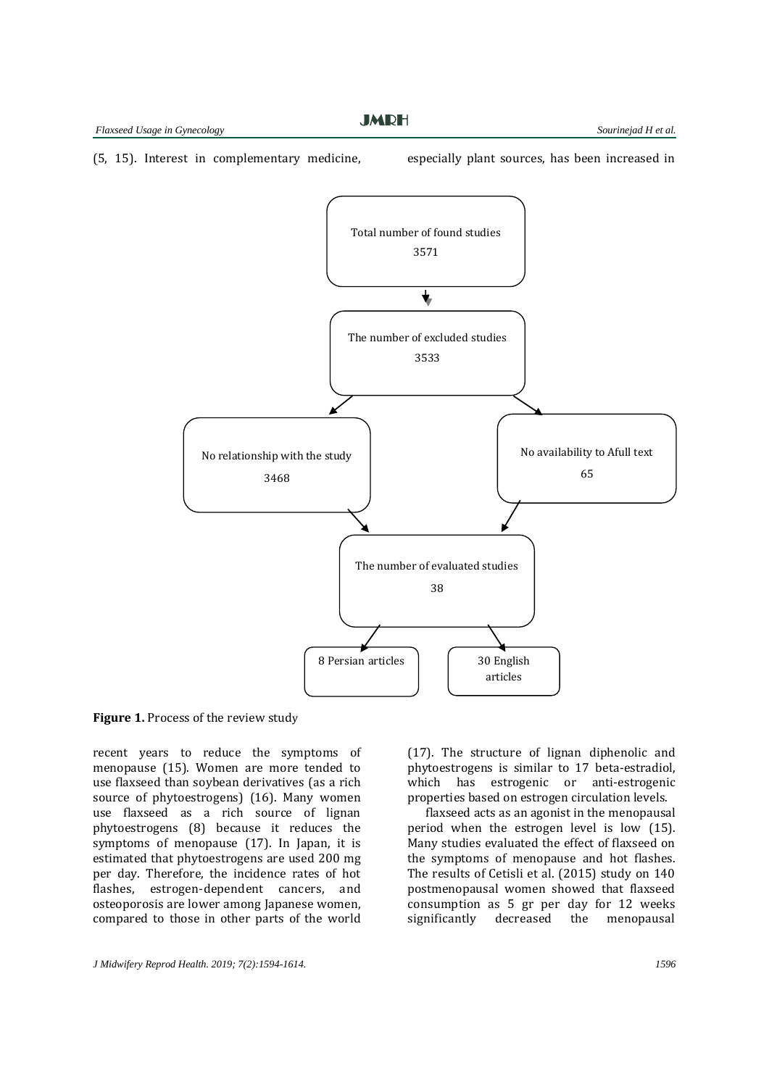**JMDH** 

[\(5,](#page-18-0) [15\)](#page-18-8). Interest in complementary medicine, especially plant sources, has been increased in



**Figure 1.** Process of the review study

recent years to reduce the symptoms of menopause [\(15\)](#page-18-8). Women are more tended to use flaxseed than soybean derivatives (as a rich source of phytoestrogens) [\(16\)](#page-18-9). Many women use flaxseed as a rich source of lignan phytoestrogens [\(8\)](#page-18-3) because it reduces the symptoms of menopause [\(17\)](#page-18-10). In Japan, it is estimated that phytoestrogens are used 200 mg per day. Therefore, the incidence rates of hot flashes, estrogen-dependent cancers, and osteoporosis are lower among Japanese women, compared to those in other parts of the world

[\(17\)](#page-18-10). The structure of lignan diphenolic and phytoestrogens is similar to 17 beta-estradiol, which has estrogenic or anti-estrogenic properties based on estrogen circulation levels.

flaxseed acts as an agonist in the menopausal period when the estrogen level is low [\(15\)](#page-18-8). Many studies evaluated the effect of flaxseed on the symptoms of menopause and hot flashes. The results of Cetisli et al. (2015) study on 140 postmenopausal women showed that flaxseed consumption as 5 gr per day for 12 weeks significantly decreased the menopausal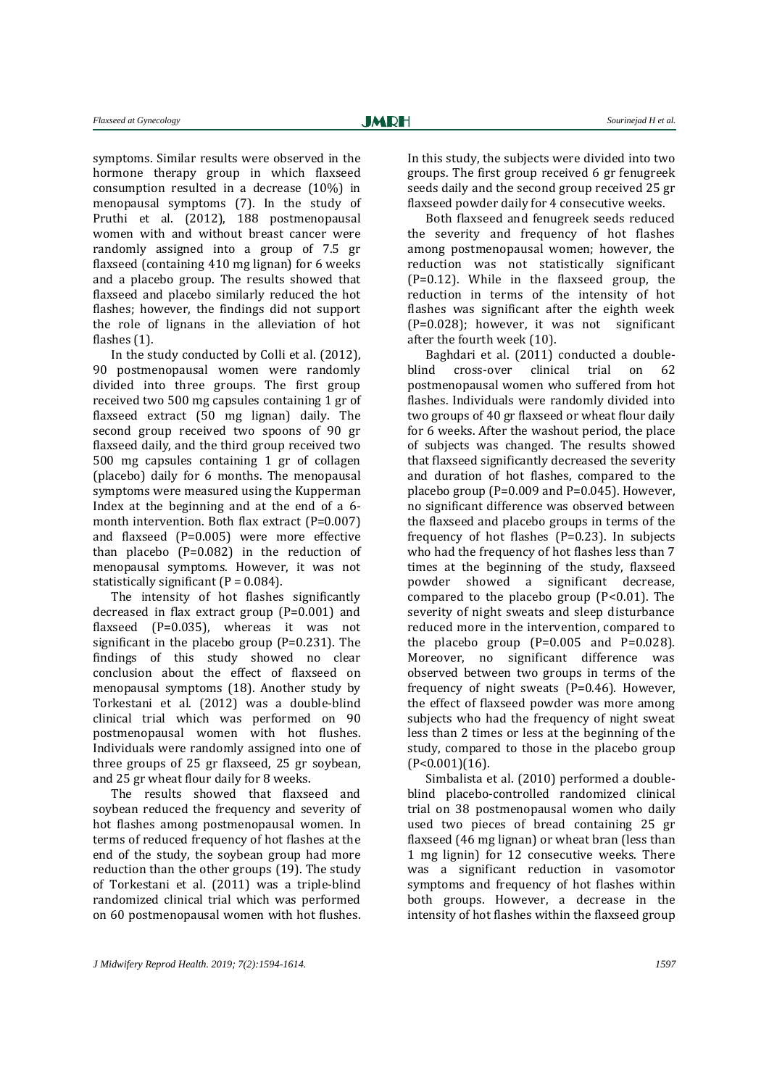symptoms. Similar results were observed in the hormone therapy group in which flaxseed consumption resulted in a decrease (10%) in menopausal symptoms [\(7\)](#page-18-2). In the study of Pruthi et al. (2012), 188 postmenopausal women with and without breast cancer were randomly assigned into a group of 7.5 gr flaxseed (containing 410 mg lignan) for 6 weeks and a placebo group. The results showed that flaxseed and placebo similarly reduced the hot flashes; however, the findings did not support the role of lignans in the alleviation of hot flashes [\(1\)](#page-17-0).

In the study conducted by Colli et al. (2012), 90 postmenopausal women were randomly divided into three groups. The first group received two 500 mg capsules containing 1 gr of flaxseed extract (50 mg lignan) daily. The second group received two spoons of 90 gr flaxseed daily, and the third group received two 500 mg capsules containing 1 gr of collagen (placebo) daily for 6 months. The menopausal symptoms were measured using the Kupperman Index at the beginning and at the end of a 6 month intervention. Both flax extract (P=0.007) and flaxseed (P=0.005) were more effective than placebo (P=0.082) in the reduction of menopausal symptoms. However, it was not statistically significant  $(P = 0.084)$ .

The intensity of hot flashes significantly decreased in flax extract group (P=0.001) and flaxseed (P=0.035), whereas it was not significant in the placebo group (P=0.231). The findings of this study showed no clear conclusion about the effect of flaxseed on menopausal symptoms [\(18\)](#page-18-11). Another study by Torkestani et al. (2012) was a double-blind clinical trial which was performed on 90 postmenopausal women with hot flushes. Individuals were randomly assigned into one of three groups of 25 gr flaxseed, 25 gr soybean, and 25 gr wheat flour daily for 8 weeks.

The results showed that flaxseed and soybean reduced the frequency and severity of hot flashes among postmenopausal women. In terms of reduced frequency of hot flashes at the end of the study, the soybean group had more reduction than the other groups [\(19\)](#page-18-12). The study of Torkestani et al. (2011) was a triple-blind randomized clinical trial which was performed on 60 postmenopausal women with hot flushes.

In this study, the subjects were divided into two groups. The first group received 6 gr fenugreek seeds daily and the second group received 25 gr flaxseed powder daily for 4 consecutive weeks.

Both flaxseed and fenugreek seeds reduced the severity and frequency of hot flashes among postmenopausal women; however, the reduction was not statistically significant (P=0.12). While in the flaxseed group, the reduction in terms of the intensity of hot flashes was significant after the eighth week (P=0.028); however, it was not significant after the fourth week (10).

Baghdari et al. (2011) conducted a doubleblind cross-over clinical trial on 62 postmenopausal women who suffered from hot flashes. Individuals were randomly divided into two groups of 40 gr flaxseed or wheat flour daily for 6 weeks. After the washout period, the place of subjects was changed. The results showed that flaxseed significantly decreased the severity and duration of hot flashes, compared to the placebo group (P=0.009 and P=0.045). However, no significant difference was observed between the flaxseed and placebo groups in terms of the frequency of hot flashes (P=0.23). In subjects who had the frequency of hot flashes less than 7 times at the beginning of the study, flaxseed powder showed a significant decrease, compared to the placebo group (P<0.01). The severity of night sweats and sleep disturbance reduced more in the intervention, compared to the placebo group  $(P=0.005$  and  $P=0.028$ ). Moreover, no significant difference was observed between two groups in terms of the frequency of night sweats (P=0.46). However, the effect of flaxseed powder was more among subjects who had the frequency of night sweat less than 2 times or less at the beginning of the study, compared to those in the placebo group (P<0.001)[\(16\)](#page-18-9).

Simbalista et al. (2010) performed a doubleblind placebo-controlled randomized clinical trial on 38 postmenopausal women who daily used two pieces of bread containing 25 gr flaxseed (46 mg lignan) or wheat bran (less than 1 mg lignin) for 12 consecutive weeks. There was a significant reduction in vasomotor symptoms and frequency of hot flashes within both groups. However, a decrease in the intensity of hot flashes within the flaxseed group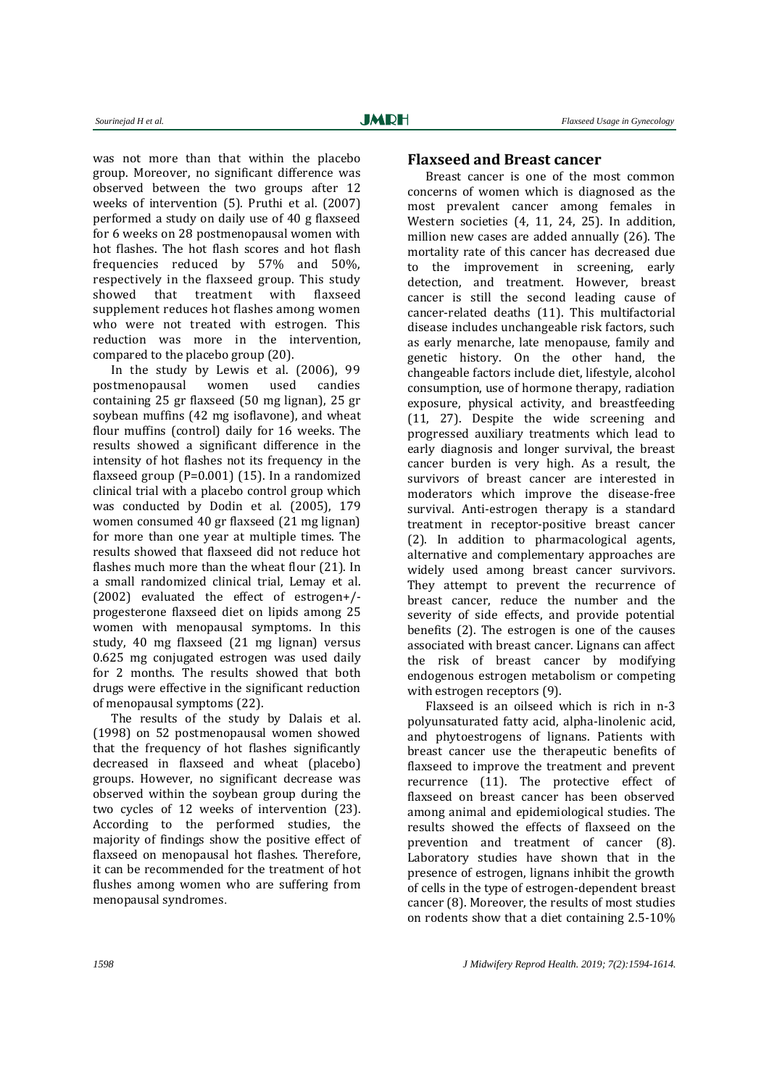was not more than that within the placebo group. Moreover, no significant difference was observed between the two groups after 12 weeks of intervention [\(5\)](#page-18-0). Pruthi et al. (2007) performed a study on daily use of 40 g flaxseed for 6 weeks on 28 postmenopausal women with hot flashes. The hot flash scores and hot flash frequencies reduced by 57% and 50%, respectively in the flaxseed group. This study showed that treatment with flaxseed supplement reduces hot flashes among women who were not treated with estrogen. This reduction was more in the intervention, compared to the placebo group [\(20\)](#page-18-13).

In the study by Lewis et al. (2006), 99 postmenopausal women used candies containing 25 gr flaxseed (50 mg lignan), 25 gr soybean muffins (42 mg isoflavone), and wheat flour muffins (control) daily for 16 weeks. The results showed a significant difference in the intensity of hot flashes not its frequency in the flaxseed group (P=0.001) [\(15\)](#page-18-8). In a randomized clinical trial with a placebo control group which was conducted by Dodin et al. (2005), 179 women consumed 40 gr flaxseed (21 mg lignan) for more than one year at multiple times. The results showed that flaxseed did not reduce hot flashes much more than the wheat flour [\(21\)](#page-18-14). In a small randomized clinical trial, Lemay et al. (2002) evaluated the effect of estrogen+/ progesterone flaxseed diet on lipids among 25 women with menopausal symptoms. In this study, 40 mg flaxseed (21 mg lignan) versus 0.625 mg conjugated estrogen was used daily for 2 months. The results showed that both drugs were effective in the significant reduction of menopausal symptoms [\(22\)](#page-18-15).

The results of the study by Dalais et al. (1998) on 52 postmenopausal women showed that the frequency of hot flashes significantly decreased in flaxseed and wheat (placebo) groups. However, no significant decrease was observed within the soybean group during the two cycles of 12 weeks of intervention [\(23\)](#page-18-16). According to the performed studies, the majority of findings show the positive effect of flaxseed on menopausal hot flashes. Therefore, it can be recommended for the treatment of hot flushes among women who are suffering from menopausal syndromes.

#### **Flaxseed and Breast cancer**

Breast cancer is one of the most common concerns of women which is diagnosed as the most prevalent cancer among females in Western societies [\(4,](#page-17-3) [11,](#page-18-4) [24,](#page-18-17) [25\)](#page-18-18). In addition, million new cases are added annually [\(26\)](#page-18-19). The mortality rate of this cancer has decreased due to the improvement in screening, early detection, and treatment. However, breast cancer is still the second leading cause of cancer-related deaths [\(11\)](#page-18-4). This multifactorial disease includes unchangeable risk factors, such as early menarche, late menopause, family and genetic history. On the other hand, the changeable factors include diet, lifestyle, alcohol consumption, use of hormone therapy, radiation exposure, physical activity, and breastfeeding [\(11,](#page-18-4) [27\)](#page-18-20). Despite the wide screening and progressed auxiliary treatments which lead to early diagnosis and longer survival, the breast cancer burden is very high. As a result, the survivors of breast cancer are interested in moderators which improve the disease-free survival. Anti-estrogen therapy is a standard treatment in receptor-positive breast cancer [\(2\)](#page-17-1). In addition to pharmacological agents, alternative and complementary approaches are widely used among breast cancer survivors. They attempt to prevent the recurrence of breast cancer, reduce the number and the severity of side effects, and provide potential benefits [\(2\)](#page-17-1). The estrogen is one of the causes associated with breast cancer. Lignans can affect the risk of breast cancer by modifying endogenous estrogen metabolism or competing with estrogen receptors [\(9\)](#page-18-21).

Flaxseed is an oilseed which is rich in n-3 polyunsaturated fatty acid, alpha-linolenic acid, and phytoestrogens of lignans. Patients with breast cancer use the therapeutic benefits of flaxseed to improve the treatment and prevent recurrence [\(11\)](#page-18-4). The protective effect of flaxseed on breast cancer has been observed among animal and epidemiological studies. The results showed the effects of flaxseed on the prevention and treatment of cancer [\(8\)](#page-18-3). Laboratory studies have shown that in the presence of estrogen, lignans inhibit the growth of cells in the type of estrogen-dependent breast cancer [\(8\)](#page-18-3). Moreover, the results of most studies on rodents show that a diet containing 2.5-10%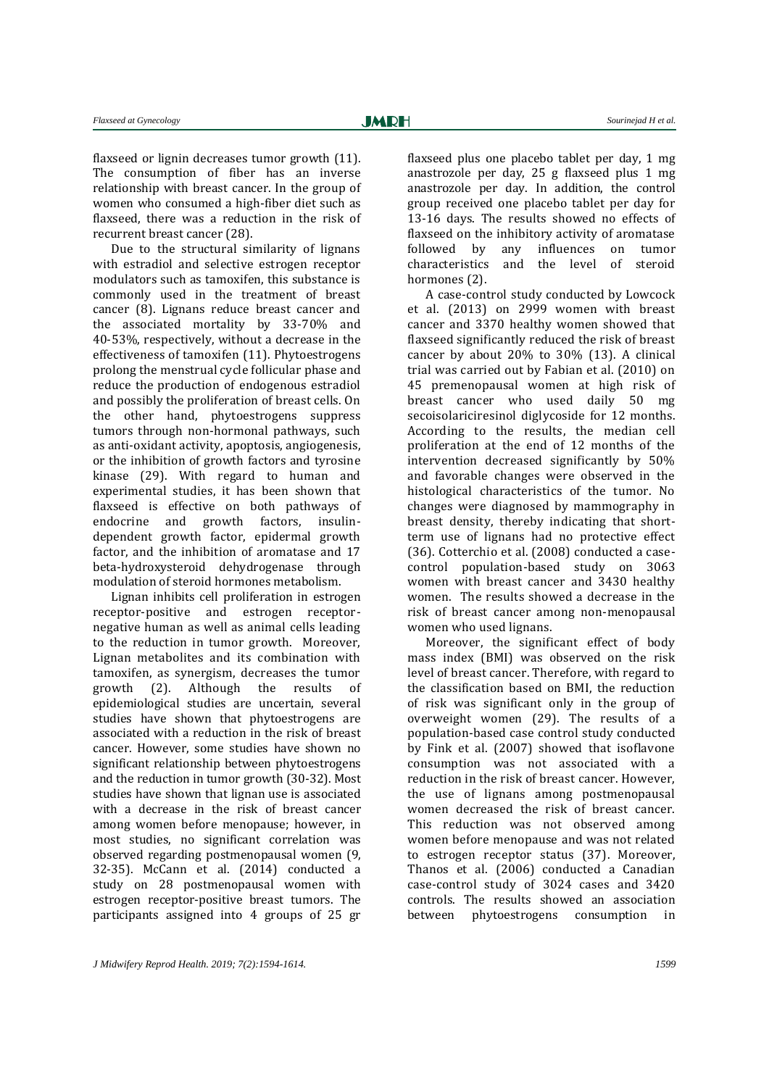flaxseed or lignin decreases tumor growth [\(11\)](#page-18-4). The consumption of fiber has an inverse relationship with breast cancer. In the group of women who consumed a high-fiber diet such as flaxseed, there was a reduction in the risk of recurrent breast cancer [\(28\)](#page-18-22).

Due to the structural similarity of lignans with estradiol and selective estrogen receptor modulators such as tamoxifen, this substance is commonly used in the treatment of breast cancer [\(8\)](#page-18-3). Lignans reduce breast cancer and the associated mortality by 33-70% and 40-53%, respectively, without a decrease in the effectiveness of tamoxifen [\(11\)](#page-18-4). Phytoestrogens prolong the menstrual cycle follicular phase and reduce the production of endogenous estradiol and possibly the proliferation of breast cells. On the other hand, phytoestrogens suppress tumors through non-hormonal pathways, such as anti-oxidant activity, apoptosis, angiogenesis, or the inhibition of growth factors and tyrosine kinase [\(29\)](#page-19-0). With regard to human and experimental studies, it has been shown that flaxseed is effective on both pathways of endocrine and growth factors, insulindependent growth factor, epidermal growth factor, and the inhibition of aromatase and 17 beta-hydroxysteroid dehydrogenase through modulation of steroid hormones metabolism.

Lignan inhibits cell proliferation in estrogen receptor-positive and estrogen receptornegative human as well as animal cells leading to the reduction in tumor growth. Moreover, Lignan metabolites and its combination with tamoxifen, as synergism, decreases the tumor growth [\(2\)](#page-17-1). Although the results of epidemiological studies are uncertain, several studies have shown that phytoestrogens are associated with a reduction in the risk of breast cancer. However, some studies have shown no significant relationship between phytoestrogens and the reduction in tumor growth [\(30-32\)](#page-19-1). Most studies have shown that lignan use is associated with a decrease in the risk of breast cancer among women before menopause; however, in most studies, no significant correlation was observed regarding postmenopausal women [\(9,](#page-18-21)  [32-35\)](#page-19-2). McCann et al. (2014) conducted a study on 28 postmenopausal women with estrogen receptor-positive breast tumors. The participants assigned into 4 groups of 25 gr

flaxseed plus one placebo tablet per day, 1 mg anastrozole per day, 25 g flaxseed plus 1 mg anastrozole per day. In addition, the control group received one placebo tablet per day for 13-16 days. The results showed no effects of flaxseed on the inhibitory activity of aromatase followed by any influences on tumor characteristics and the level of steroid

hormones [\(2\)](#page-17-1). A case-control study conducted by Lowcock et al. (2013) on 2999 women with breast cancer and 3370 healthy women showed that flaxseed significantly reduced the risk of breast cancer by about 20% to 30% [\(13\)](#page-18-6). A clinical trial was carried out by Fabian et al. (2010) on 45 premenopausal women at high risk of breast cancer who used daily 50 mg secoisolariciresinol diglycoside for 12 months. According to the results, the median cell proliferation at the end of 12 months of the intervention decreased significantly by 50% and favorable changes were observed in the histological characteristics of the tumor. No changes were diagnosed by mammography in breast density, thereby indicating that shortterm use of lignans had no protective effect [\(36\)](#page-19-3). Cotterchio et al. (2008) conducted a casecontrol population-based study on 3063 women with breast cancer and 3430 healthy women. The results showed a decrease in the risk of breast cancer among non-menopausal women who used lignans.

Moreover, the significant effect of body mass index (BMI) was observed on the risk level of breast cancer. Therefore, with regard to the classification based on BMI, the reduction of risk was significant only in the group of overweight women [\(29\)](#page-19-0). The results of a population-based case control study conducted by Fink et al. (2007) showed that isoflavone consumption was not associated with a reduction in the risk of breast cancer. However, the use of lignans among postmenopausal women decreased the risk of breast cancer. This reduction was not observed among women before menopause and was not related to estrogen receptor status [\(37\)](#page-19-4). Moreover, Thanos et al. (2006) conducted a Canadian case-control study of 3024 cases and 3420 controls. The results showed an association between phytoestrogens consumption in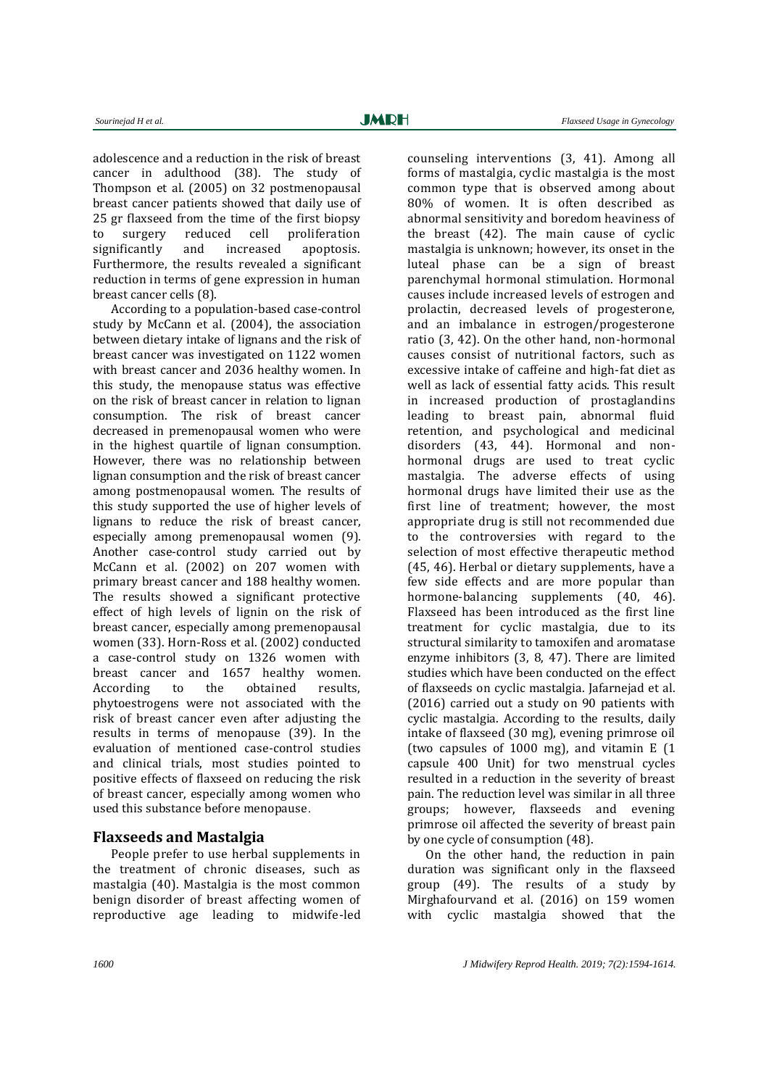adolescence and a reduction in the risk of breast cancer in adulthood [\(38\)](#page-19-5). The study of Thompson et al. (2005) on 32 postmenopausal breast cancer patients showed that daily use of 25 gr flaxseed from the time of the first biopsy to surgery reduced cell proliferation significantly and increased apoptosis. Furthermore, the results revealed a significant reduction in terms of gene expression in human breast cancer cells [\(8\)](#page-18-3).

According to a population-based case-control study by McCann et al. (2004), the association between dietary intake of lignans and the risk of breast cancer was investigated on 1122 women with breast cancer and 2036 healthy women. In this study, the menopause status was effective on the risk of breast cancer in relation to lignan consumption. The risk of breast cancer decreased in premenopausal women who were in the highest quartile of lignan consumption. However, there was no relationship between lignan consumption and the risk of breast cancer among postmenopausal women. The results of this study supported the use of higher levels of lignans to reduce the risk of breast cancer, especially among premenopausal women [\(9\)](#page-18-21). Another case-control study carried out by McCann et al. (2002) on 207 women with primary breast cancer and 188 healthy women. The results showed a significant protective effect of high levels of lignin on the risk of breast cancer, especially among premenopausal women [\(33\)](#page-19-6). Horn-Ross et al. (2002) conducted a case-control study on 1326 women with breast cancer and 1657 healthy women. According to the obtained results, phytoestrogens were not associated with the risk of breast cancer even after adjusting the results in terms of menopause [\(39\)](#page-19-7). In the evaluation of mentioned case-control studies and clinical trials, most studies pointed to positive effects of flaxseed on reducing the risk of breast cancer, especially among women who used this substance before menopause.

#### **Flaxseeds and Mastalgia**

People prefer to use herbal supplements in the treatment of chronic diseases, such as mastalgia [\(40\)](#page-19-8). Mastalgia is the most common benign disorder of breast affecting women of reproductive age leading to midwife-led

counseling interventions [\(3,](#page-17-2) [41\)](#page-19-9). Among all forms of mastalgia, cyclic mastalgia is the most common type that is observed among about 80% of women. It is often described as abnormal sensitivity and boredom heaviness of the breast [\(42\)](#page-19-10). The main cause of cyclic mastalgia is unknown; however, its onset in the luteal phase can be a sign of breast parenchymal hormonal stimulation. Hormonal causes include increased levels of estrogen and prolactin, decreased levels of progesterone, and an imbalance in estrogen/progesterone ratio [\(3,](#page-17-2) [42\)](#page-19-10). On the other hand, non-hormonal causes consist of nutritional factors, such as excessive intake of caffeine and high-fat diet as well as lack of essential fatty acids. This result in increased production of prostaglandins leading to breast pain, abnormal fluid retention, and psychological and medicinal disorders [\(43,](#page-19-11) [44\)](#page-19-12). Hormonal and nonhormonal drugs are used to treat cyclic mastalgia. The adverse effects of using hormonal drugs have limited their use as the first line of treatment; however, the most appropriate drug is still not recommended due to the controversies with regard to the selection of most effective therapeutic method [\(45,](#page-19-13) [46\)](#page-19-14). Herbal or dietary supplements, have a few side effects and are more popular than hormone-balancing supplements [\(40,](#page-19-8) [46\)](#page-19-14). Flaxseed has been introduced as the first line treatment for cyclic mastalgia, due to its structural similarity to tamoxifen and aromatase enzyme inhibitors [\(3,](#page-17-2) [8,](#page-18-3) [47\)](#page-19-15). There are limited studies which have been conducted on the effect of flaxseeds on cyclic mastalgia. Jafarnejad et al. (2016) carried out a study on 90 patients with cyclic mastalgia. According to the results, daily intake of flaxseed (30 mg), evening primrose oil (two capsules of 1000 mg), and vitamin E (1 capsule 400 Unit) for two menstrual cycles resulted in a reduction in the severity of breast pain. The reduction level was similar in all three groups; however, flaxseeds and evening primrose oil affected the severity of breast pain by one cycle of consumption [\(48\)](#page-19-16).

On the other hand, the reduction in pain duration was significant only in the flaxseed group [\(49\)](#page-19-17). The results of a study by Mirghafourvand et al. (2016) on 159 women with cyclic mastalgia showed that the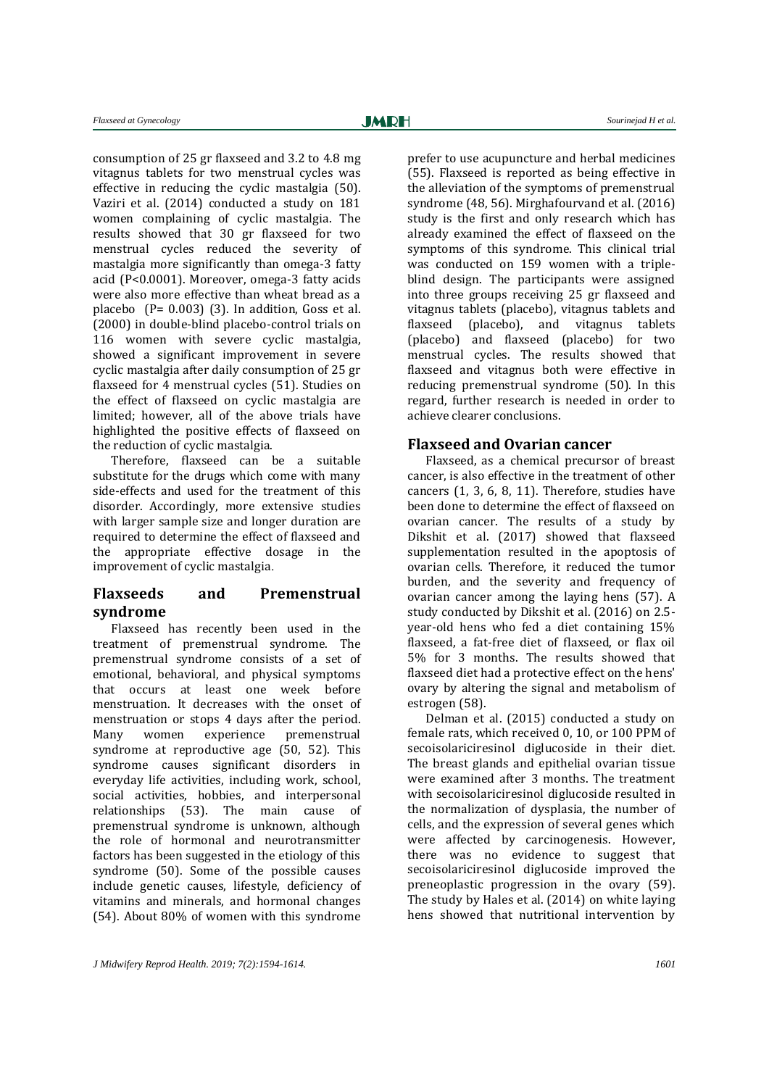consumption of 25 gr flaxseed and 3.2 to 4.8 mg vitagnus tablets for two menstrual cycles was effective in reducing the cyclic mastalgia [\(50\)](#page-19-18). Vaziri et al. (2014) conducted a study on 181 women complaining of cyclic mastalgia. The results showed that 30 gr flaxseed for two menstrual cycles reduced the severity of mastalgia more significantly than omega-3 fatty acid (P<0.0001). Moreover, omega-3 fatty acids were also more effective than wheat bread as a placebo (P= 0.003) [\(3\)](#page-17-2). In addition, Goss et al. (2000) in double-blind placebo-control trials on 116 women with severe cyclic mastalgia, showed a significant improvement in severe cyclic mastalgia after daily consumption of 25 gr flaxseed for 4 menstrual cycles [\(51\)](#page-19-19). Studies on the effect of flaxseed on cyclic mastalgia are limited; however, all of the above trials have highlighted the positive effects of flaxseed on the reduction of cyclic mastalgia.

Therefore, flaxseed can be a suitable substitute for the drugs which come with many side-effects and used for the treatment of this disorder. Accordingly, more extensive studies with larger sample size and longer duration are required to determine the effect of flaxseed and the appropriate effective dosage in the improvement of cyclic mastalgia.

### **Flaxseeds and Premenstrual syndrome**

Flaxseed has recently been used in the treatment of premenstrual syndrome. The premenstrual syndrome consists of a set of emotional, behavioral, and physical symptoms that occurs at least one week before menstruation. It decreases with the onset of menstruation or stops 4 days after the period. Many women experience premenstrual syndrome at reproductive age [\(50,](#page-19-18) [52\)](#page-20-0). This syndrome causes significant disorders in everyday life activities, including work, school, social activities, hobbies, and interpersonal relationships [\(53\)](#page-20-1). The main cause of premenstrual syndrome is unknown, although the role of hormonal and neurotransmitter factors has been suggested in the etiology of this syndrome [\(50\)](#page-19-18). Some of the possible causes include genetic causes, lifestyle, deficiency of vitamins and minerals, and hormonal changes [\(54\)](#page-20-2). About 80% of women with this syndrome

prefer to use acupuncture and herbal medicines [\(55\)](#page-20-3). Flaxseed is reported as being effective in the alleviation of the symptoms of premenstrual syndrome [\(48,](#page-19-16) [56\)](#page-20-4). Mirghafourvand et al. (2016) study is the first and only research which has already examined the effect of flaxseed on the symptoms of this syndrome. This clinical trial was conducted on 159 women with a tripleblind design. The participants were assigned into three groups receiving 25 gr flaxseed and vitagnus tablets (placebo), vitagnus tablets and flaxseed (placebo), and vitagnus tablets (placebo) and flaxseed (placebo) for two menstrual cycles. The results showed that flaxseed and vitagnus both were effective in reducing premenstrual syndrome [\(50\)](#page-19-18). In this regard, further research is needed in order to achieve clearer conclusions.

#### **Flaxseed and Ovarian cancer**

Flaxseed, as a chemical precursor of breast cancer, is also effective in the treatment of other cancers [\(1,](#page-17-0) [3,](#page-17-2) [6,](#page-18-1) [8,](#page-18-3) [11\)](#page-18-4). Therefore, studies have been done to determine the effect of flaxseed on ovarian cancer. The results of a study by Dikshit et al. (2017) showed that flaxseed supplementation resulted in the apoptosis of ovarian cells. Therefore, it reduced the tumor burden, and the severity and frequency of ovarian cancer among the laying hens [\(57\)](#page-20-5). A study conducted by Dikshit et al. (2016) on 2.5 year-old hens who fed a diet containing 15% flaxseed, a fat-free diet of flaxseed, or flax oil 5% for 3 months. The results showed that flaxseed diet had a protective effect on the hens' ovary by altering the signal and metabolism of estrogen [\(58\)](#page-20-6).

Delman et al. (2015) conducted a study on female rats, which received 0, 10, or 100 PPM of secoisolariciresinol diglucoside in their diet. The breast glands and epithelial ovarian tissue were examined after 3 months. The treatment with secoisolariciresinol diglucoside resulted in the normalization of dysplasia, the number of cells, and the expression of several genes which were affected by carcinogenesis. However, there was no evidence to suggest that secoisolariciresinol diglucoside improved the preneoplastic progression in the ovary [\(59\)](#page-20-7). The study by Hales et al. (2014) on white laying hens showed that nutritional intervention by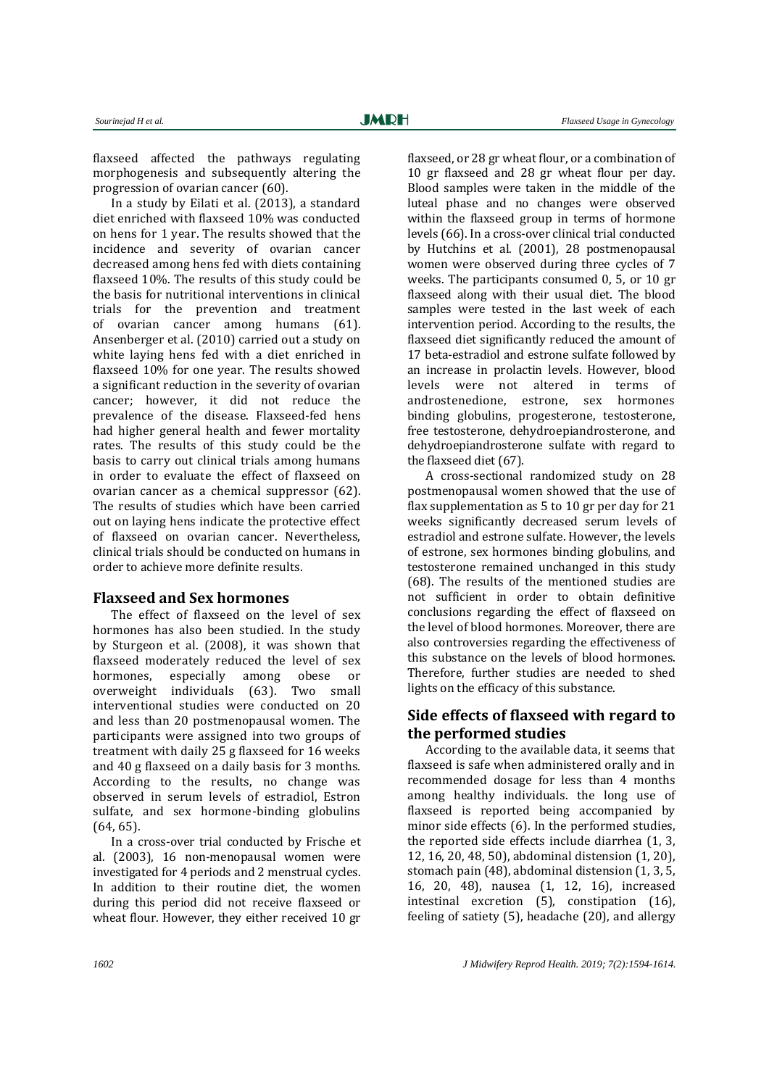flaxseed affected the pathways regulating morphogenesis and subsequently altering the progression of ovarian cancer [\(60\)](#page-20-8).

In a study by Eilati et al. (2013), a standard diet enriched with flaxseed 10% was conducted on hens for 1 year. The results showed that the incidence and severity of ovarian cancer decreased among hens fed with diets containing flaxseed 10%. The results of this study could be the basis for nutritional interventions in clinical trials for the prevention and treatment of ovarian cancer among humans [\(61\)](#page-20-9). Ansenberger et al. (2010) carried out a study on white laying hens fed with a diet enriched in flaxseed 10% for one year. The results showed a significant reduction in the severity of ovarian cancer; however, it did not reduce the prevalence of the disease. Flaxseed-fed hens had higher general health and fewer mortality rates. The results of this study could be the basis to carry out clinical trials among humans in order to evaluate the effect of flaxseed on ovarian cancer as a chemical suppressor [\(62\)](#page-20-10). The results of studies which have been carried out on laying hens indicate the protective effect of flaxseed on ovarian cancer. Nevertheless, clinical trials should be conducted on humans in order to achieve more definite results.

#### **Flaxseed and Sex hormones**

The effect of flaxseed on the level of sex hormones has also been studied. In the study by Sturgeon et al. (2008), it was shown that flaxseed moderately reduced the level of sex hormones, especially among obese or overweight individuals [\(63\)](#page-20-11). Two small interventional studies were conducted on 20 and less than 20 postmenopausal women. The participants were assigned into two groups of treatment with daily 25 g flaxseed for 16 weeks and 40 g flaxseed on a daily basis for 3 months. According to the results, no change was observed in serum levels of estradiol, Estron sulfate, and sex hormone-binding globulins [\(64,](#page-20-12) [65\)](#page-20-13).

In a cross-over trial conducted by Frische et al. (2003), 16 non-menopausal women were investigated for 4 periods and 2 menstrual cycles. In addition to their routine diet, the women during this period did not receive flaxseed or wheat flour. However, they either received 10 gr

flaxseed, or 28 gr wheat flour, or a combination of 10 gr flaxseed and 28 gr wheat flour per day. Blood samples were taken in the middle of the luteal phase and no changes were observed within the flaxseed group in terms of hormone levels [\(66\)](#page-20-14). In a cross-over clinical trial conducted by Hutchins et al. (2001), 28 postmenopausal women were observed during three cycles of 7 weeks. The participants consumed 0, 5, or 10 gr flaxseed along with their usual diet. The blood samples were tested in the last week of each intervention period. According to the results, the flaxseed diet significantly reduced the amount of 17 beta-estradiol and estrone sulfate followed by an increase in prolactin levels. However, blood levels were not altered in terms of androstenedione, estrone, sex hormones binding globulins, progesterone, testosterone, free testosterone, dehydroepiandrosterone, and dehydroepiandrosterone sulfate with regard to the flaxseed diet [\(67\)](#page-20-15).

A cross-sectional randomized study on 28 postmenopausal women showed that the use of flax supplementation as 5 to 10 gr per day for 21 weeks significantly decreased serum levels of estradiol and estrone sulfate. However, the levels of estrone, sex hormones binding globulins, and testosterone remained unchanged in this study [\(68\)](#page-20-16). The results of the mentioned studies are not sufficient in order to obtain definitive conclusions regarding the effect of flaxseed on the level of blood hormones. Moreover, there are also controversies regarding the effectiveness of this substance on the levels of blood hormones. Therefore, further studies are needed to shed lights on the efficacy of this substance.

### **Side effects of flaxseed with regard to the performed studies**

According to the available data, it seems that flaxseed is safe when administered orally and in recommended dosage for less than 4 months among healthy individuals. the long use of flaxseed is reported being accompanied by minor side effects [\(6\)](#page-18-1). In the performed studies, the reported side effects include diarrhea [\(1,](#page-17-0) [3,](#page-17-2)  [12,](#page-18-5) [16,](#page-18-9) [20,](#page-18-13) [48,](#page-19-16) [50\)](#page-19-18), abdominal distension [\(1,](#page-17-0) [20\)](#page-18-13), stomach pain [\(48\)](#page-19-16), abdominal distension [\(1,](#page-17-0) [3,](#page-17-2) [5,](#page-18-0)  [16,](#page-18-9) [20,](#page-18-13) [48\)](#page-19-16), nausea [\(1,](#page-17-0) [12,](#page-18-5) [16\)](#page-18-9), increased intestinal excretion [\(5\)](#page-18-0), constipation [\(16\)](#page-18-9), feeling of satiety [\(5\)](#page-18-0), headache [\(20\)](#page-18-13), and allergy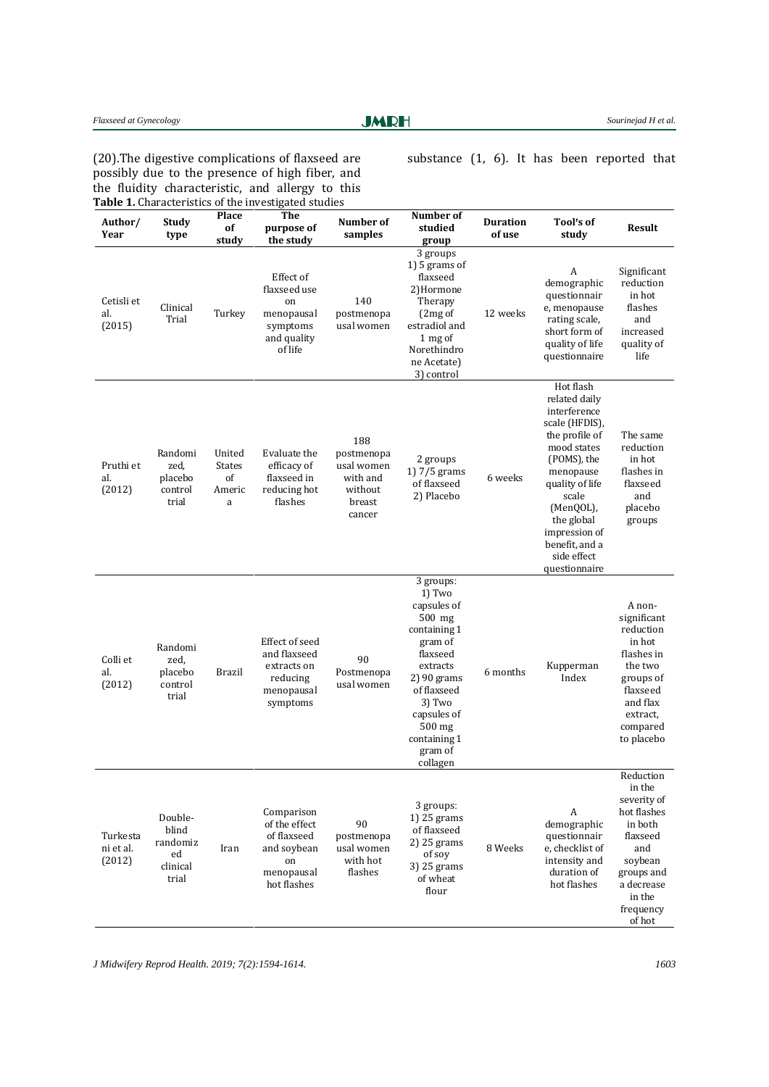#### Flaxseed at Gynecology **Sourine and Flather Controllering Sourine Sourine in the Sourine in ALC Flather Sourine in ALC Flather Sourine in ALC Flather Sourine in ALC Flather Sourine in ALC Flather Sourine in ALC Flather Sou**

**JMRH** 

[\(20\)](#page-18-13).The digestive complications of flaxseed are possibly due to the presence of high fiber, and the fluidity characteristic, and allergy to this substance [\(1,](#page-17-0) [6\)](#page-18-1). It has been reported that

| Author/<br>Year                 | Study<br>type                                           | Place<br>of<br>study                         | The<br>purpose of<br>the study                                                               | Number of<br>samples                                                       | Number of<br>studied<br>group                                                                                                                                                                               | <b>Duration</b><br>of use | Tool's of<br>study                                                                                                                                                                                                                                  | <b>Result</b>                                                                                                                                           |
|---------------------------------|---------------------------------------------------------|----------------------------------------------|----------------------------------------------------------------------------------------------|----------------------------------------------------------------------------|-------------------------------------------------------------------------------------------------------------------------------------------------------------------------------------------------------------|---------------------------|-----------------------------------------------------------------------------------------------------------------------------------------------------------------------------------------------------------------------------------------------------|---------------------------------------------------------------------------------------------------------------------------------------------------------|
| Cetisli et<br>al.<br>(2015)     | Clinical<br>Trial                                       | Turkey                                       | Effect of<br>flaxseed use<br>on<br>menopausal<br>symptoms<br>and quality<br>of life          | 140<br>postmenopa<br>usal women                                            | 3 groups<br>1) 5 grams of<br>flaxseed<br>2)Hormone<br>Therapy<br>(2mg of<br>estradiol and<br>1 mg of<br>Norethindro<br>ne Acetate)<br>3) control                                                            | 12 weeks                  | A<br>demographic<br>questionnair<br>e, menopause<br>rating scale,<br>short form of<br>quality of life<br>questionnaire                                                                                                                              | Significant<br>reduction<br>in hot<br>flashes<br>and<br>increased<br>quality of<br>life                                                                 |
| Pruthi et<br>al.<br>(2012)      | Randomi<br>zed,<br>placebo<br>control<br>trial          | United<br><b>States</b><br>of<br>Americ<br>a | Evaluate the<br>efficacy of<br>flaxseed in<br>reducing hot<br>flashes                        | 188<br>postmenopa<br>usal women<br>with and<br>without<br>breast<br>cancer | 2 groups<br>1) 7/5 grams<br>of flaxseed<br>2) Placebo                                                                                                                                                       | 6 weeks                   | Hot flash<br>related daily<br>interference<br>scale (HFDIS),<br>the profile of<br>mood states<br>(POMS), the<br>menopause<br>quality of life<br>scale<br>(MenQOL),<br>the global<br>impression of<br>benefit, and a<br>side effect<br>questionnaire | The same<br>reduction<br>in hot<br>flashes in<br>flaxseed<br>and<br>placebo<br>groups                                                                   |
| Colli et<br>al.<br>(2012)       | Randomi<br>zed,<br>placebo<br>control<br>trial          | Brazil                                       | Effect of seed<br>and flaxseed<br>extracts on<br>reducing<br>menopausal<br>symptoms          | 90<br>Postmenopa<br>usal women                                             | 3 groups:<br>1) Two<br>capsules of<br>$500$ mg<br>containing 1<br>gram of<br>flaxseed<br>extracts<br>2) 90 grams<br>of flaxseed<br>3) Two<br>capsules of<br>$500$ mg<br>containing 1<br>gram of<br>collagen | 6 months                  | Kupperman<br>Index                                                                                                                                                                                                                                  | A non-<br>significant<br>reduction<br>in hot<br>flashes in<br>the two<br>groups of<br>flaxseed<br>and flax<br>extract,<br>compared<br>to placebo        |
| Turkesta<br>ni et al.<br>(2012) | Double-<br>blind<br>randomiz<br>ed<br>clinical<br>trial | Iran                                         | Comparison<br>of the effect<br>of flaxseed<br>and soybean<br>on<br>menopausal<br>hot flashes | 90<br>postmenopa<br>usal women<br>with hot<br>flashes                      | 3 groups:<br>1) 25 grams<br>of flaxseed<br>$2)$ 25 grams<br>of soy<br>3) 25 grams<br>of wheat<br>flour                                                                                                      | 8 Weeks                   | A<br>demographic<br>questionnair<br>e, checklist of<br>intensity and<br>duration of<br>hot flashes                                                                                                                                                  | Reduction<br>in the<br>severity of<br>hot flashes<br>in both<br>flaxseed<br>and<br>soybean<br>groups and<br>a decrease<br>in the<br>frequency<br>of hot |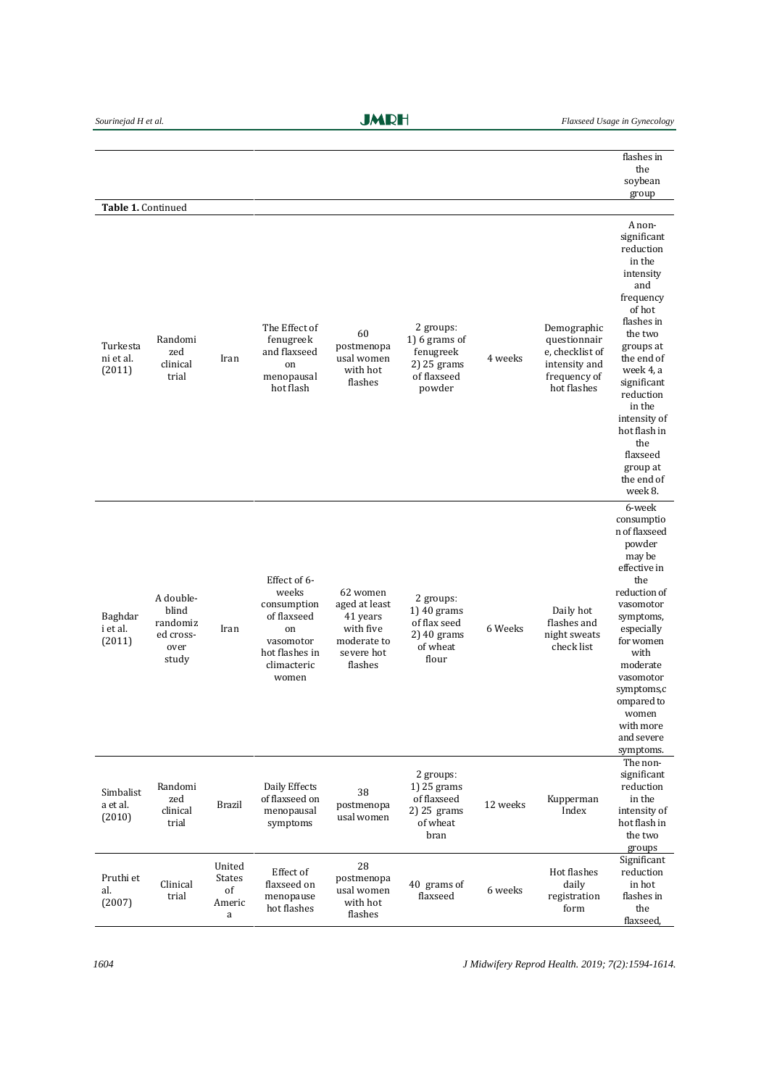|                                 |                                                              |                                              |                                                                                                                  |                                                                                            |                                                                                 |          |                                                                                                | flashes in<br>the<br>soybean                                                                                                                                                                                                                                                           |
|---------------------------------|--------------------------------------------------------------|----------------------------------------------|------------------------------------------------------------------------------------------------------------------|--------------------------------------------------------------------------------------------|---------------------------------------------------------------------------------|----------|------------------------------------------------------------------------------------------------|----------------------------------------------------------------------------------------------------------------------------------------------------------------------------------------------------------------------------------------------------------------------------------------|
| Table 1. Continued              |                                                              |                                              |                                                                                                                  |                                                                                            |                                                                                 |          |                                                                                                | group                                                                                                                                                                                                                                                                                  |
| Turkesta<br>ni et al.<br>(2011) | Randomi<br>zed<br>clinical<br>trial                          | Iran                                         | The Effect of<br>fenugreek<br>and flaxseed<br>on<br>menopausal<br>hot flash                                      | 60<br>postmenopa<br>usal women<br>with hot<br>flashes                                      | 2 groups:<br>1) 6 grams of<br>fenugreek<br>2) 25 grams<br>of flaxseed<br>powder | 4 weeks  | Demographic<br>questionnair<br>e, checklist of<br>intensity and<br>frequency of<br>hot flashes | A non-<br>significant<br>reduction<br>in the<br>intensity<br>and<br>frequency<br>of hot<br>flashes in<br>the two<br>groups at<br>the end of<br>week 4, a<br>significant<br>reduction<br>in the<br>intensity of<br>hot flash in<br>the<br>flaxseed<br>group at<br>the end of<br>week 8. |
| Baghdar<br>i et al.<br>(2011)   | A double-<br>blind<br>randomiz<br>ed cross-<br>over<br>study | Iran                                         | Effect of 6-<br>weeks<br>consumption<br>of flaxseed<br>on<br>vasomotor<br>hot flashes in<br>climacteric<br>women | 62 women<br>aged at least<br>41 years<br>with five<br>moderate to<br>severe hot<br>flashes | 2 groups:<br>1) 40 grams<br>of flax seed<br>2) 40 grams<br>of wheat<br>flour    | 6 Weeks  | Daily hot<br>flashes and<br>night sweats<br>check list                                         | 6-week<br>consumptio<br>n of flaxseed<br>powder<br>may be<br>effective in<br>the<br>reduction of<br>vasomotor<br>symptoms,<br>especially<br>for women<br>with<br>moderate<br>vasomotor<br>symptoms,c<br>ompared to<br>women<br>with more<br>and severe<br>symptoms.                    |
| Simbalist<br>a et al.<br>(2010) | Randomi<br>zed<br>clinical<br>trial                          | Brazil                                       | Daily Effects<br>of flaxseed on<br>menopausal<br>symptoms                                                        | 38<br>postmenopa<br>usal women                                                             | 2 groups:<br>1) 25 grams<br>of flaxseed<br>2) 25 grams<br>of wheat<br>bran      | 12 weeks | Kupperman<br>Index                                                                             | The non-<br>significant<br>reduction<br>in the<br>intensity of<br>hot flash in<br>the two<br>groups                                                                                                                                                                                    |
| Pruthi et<br>al.<br>(2007)      | Clinical<br>trial                                            | United<br><b>States</b><br>of<br>Americ<br>a | Effect of<br>flaxseed on<br>menopause<br>hot flashes                                                             | 28<br>postmenopa<br>usal women<br>with hot<br>flashes                                      | 40 grams of<br>flaxseed                                                         | 6 weeks  | Hot flashes<br>daily<br>registration<br>form                                                   | Significant<br>reduction<br>in hot<br>flashes in<br>the<br>flaxseed,                                                                                                                                                                                                                   |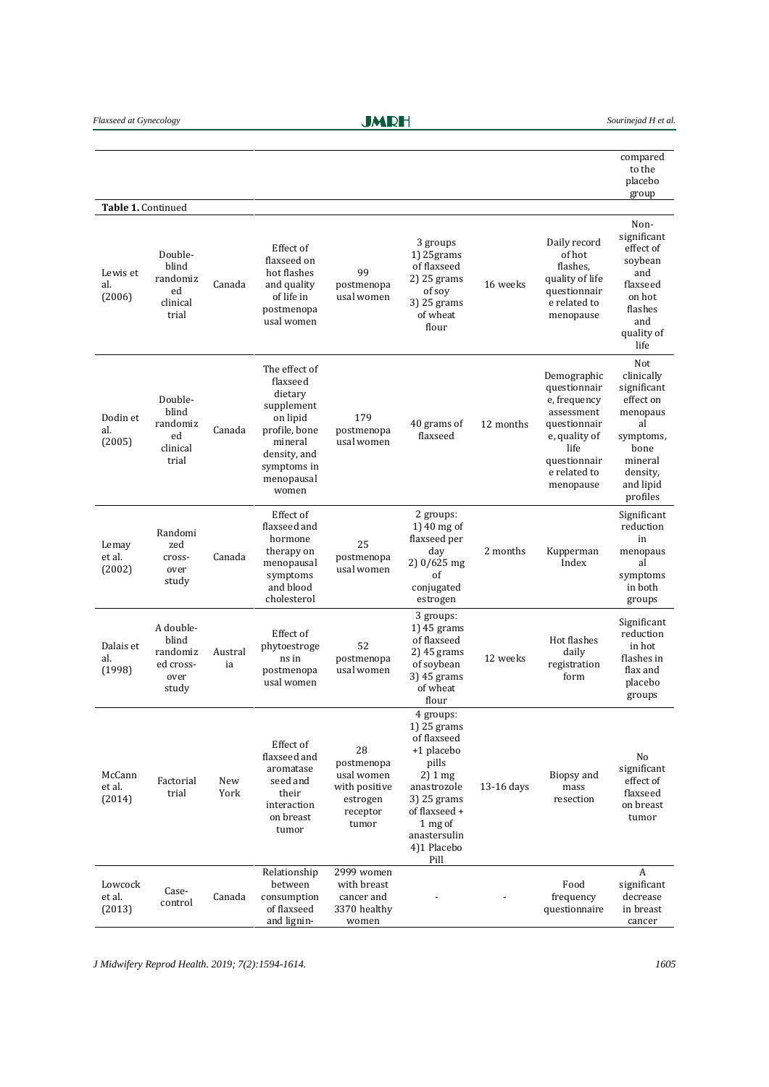**JMRH** 

|                             |                                                              |               |                                                                                                                                                  |                                                                                  |                                                                                                                                                                               |              |                                                                                                                                                 | compared<br>to the<br>placebo<br>group                                                                                               |
|-----------------------------|--------------------------------------------------------------|---------------|--------------------------------------------------------------------------------------------------------------------------------------------------|----------------------------------------------------------------------------------|-------------------------------------------------------------------------------------------------------------------------------------------------------------------------------|--------------|-------------------------------------------------------------------------------------------------------------------------------------------------|--------------------------------------------------------------------------------------------------------------------------------------|
| Table 1. Continued          |                                                              |               |                                                                                                                                                  |                                                                                  |                                                                                                                                                                               |              |                                                                                                                                                 |                                                                                                                                      |
| Lewis et<br>al.<br>(2006)   | Double-<br>blind<br>randomiz<br>ed<br>clinical<br>trial      | Canada        | Effect of<br>flaxseed on<br>hot flashes<br>and quality<br>of life in<br>postmenopa<br>usal women                                                 | 99<br>postmenopa<br>usal women                                                   | 3 groups<br>$1)$ 25 $grams$<br>of flaxseed<br>2) 25 grams<br>of soy<br>3) 25 grams<br>of wheat<br>flour                                                                       | 16 weeks     | Daily record<br>of hot<br>flashes.<br>quality of life<br>questionnair<br>e related to<br>menopause                                              | Non-<br>significant<br>effect of<br>soybean<br>and<br>flaxseed<br>on hot<br>flashes<br>and<br>quality of<br>life                     |
| Dodin et<br>al.<br>(2005)   | Double-<br>blind<br>randomiz<br>ed<br>clinical<br>trial      | Canada        | The effect of<br>flaxseed<br>dietary<br>supplement<br>on lipid<br>profile, bone<br>mineral<br>density, and<br>symptoms in<br>menopausal<br>women | 179<br>postmenopa<br>usal women                                                  | 40 grams of<br>flaxseed                                                                                                                                                       | 12 months    | Demographic<br>questionnair<br>e, frequency<br>assessment<br>questionnair<br>e, quality of<br>life<br>questionnair<br>e related to<br>menopause | Not<br>clinically<br>significant<br>effect on<br>menopaus<br>al<br>symptoms,<br>bone<br>mineral<br>density,<br>and lipid<br>profiles |
| Lemay<br>et al.<br>(2002)   | Randomi<br>zed<br>cross-<br>over<br>study                    | Canada        | Effect of<br>flaxseed and<br>hormone<br>therapy on<br>menopausal<br>symptoms<br>and blood<br>cholesterol                                         | 25<br>postmenopa<br>usal women                                                   | 2 groups:<br>1) 40 mg of<br>flaxseed per<br>day<br>2) 0/625 mg<br>of<br>conjugated<br>estrogen                                                                                | 2 months     | Kupperman<br>Index                                                                                                                              | Significant<br>reduction<br>in<br>menopaus<br>al<br>symptoms<br>in both<br>groups                                                    |
| Dalais et<br>al.<br>(1998)  | A double-<br>blind<br>randomiz<br>ed cross-<br>over<br>study | Austral<br>ia | Effect of<br>phytoestroge<br>ns in<br>postmenopa<br>usal women                                                                                   | 52<br>postmenopa<br>usal women                                                   | 3 groups:<br>$1)$ 45 grams<br>of flaxseed<br>2) 45 grams<br>of soybean<br>3) 45 grams<br>of wheat<br>flour                                                                    | 12 weeks     | Hot flashes<br>daily<br>registration<br>form                                                                                                    | Significant<br>reduction<br>in hot<br>flashes in<br>flax and<br>placebo<br>groups                                                    |
| McCann<br>et al.<br>(2014)  | Factorial<br>trial                                           | New<br>York   | Effect of<br>flaxseed and<br>aromatase<br>seed and<br>their<br>interaction<br>on breast<br>tumor                                                 | 28<br>postmenopa<br>usal women<br>with positive<br>estrogen<br>receptor<br>tumor | 4 groups:<br>1) 25 grams<br>of flaxseed<br>+1 placebo<br>pills<br>2) 1 mg<br>anastrozole<br>$3$ ) 25 grams<br>of flaxseed +<br>1 mg of<br>anastersulin<br>4)1 Placebo<br>Pill | $13-16$ days | Biopsy and<br>mass<br>resection                                                                                                                 | No<br>significant<br>effect of<br>flaxseed<br>on breast<br>tumor                                                                     |
| Lowcock<br>et al.<br>(2013) | Case-<br>control                                             | Canada        | Relationship<br>between<br>consumption<br>of flaxseed<br>and lignin-                                                                             | 2999 women<br>with breast<br>cancer and<br>3370 healthy<br>women                 |                                                                                                                                                                               |              | Food<br>frequency<br>questionnaire                                                                                                              | A<br>significant<br>decrease<br>in breast<br>cancer                                                                                  |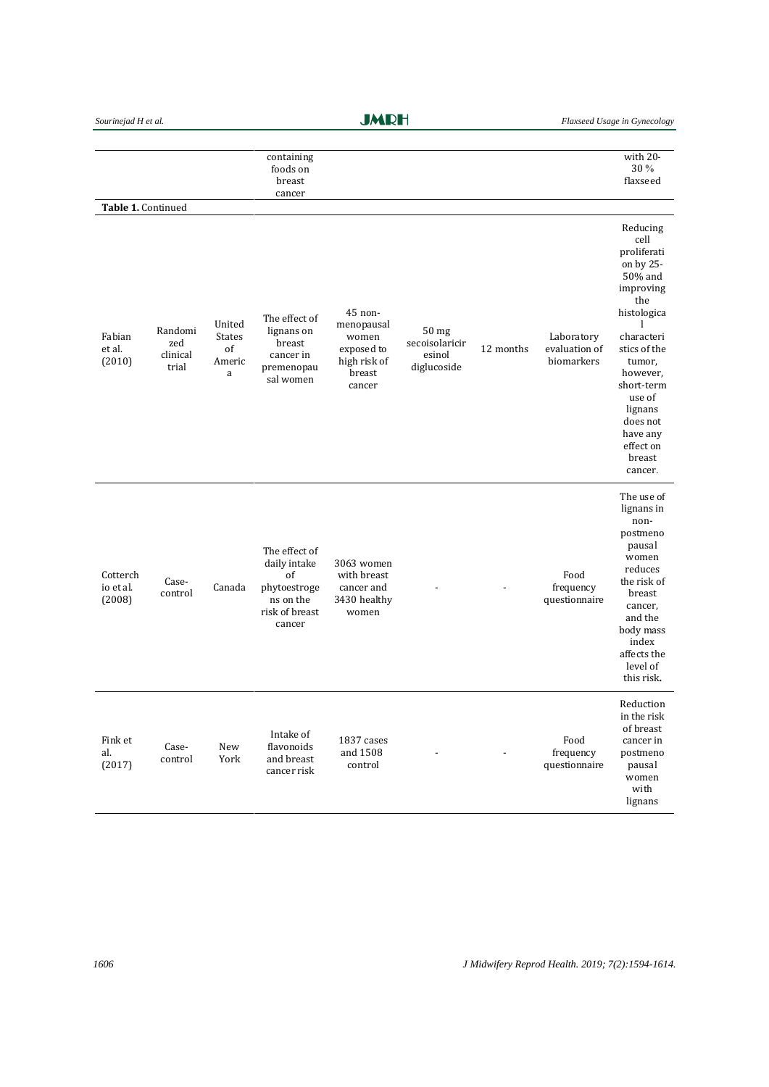**JMRH** 

|                                                  |                                     |                                              | containing<br>foods on                                                                       |                                                                                  |                                                             |           |                                           | with 20-<br>30 %                                                                                                                                                                                                                      |
|--------------------------------------------------|-------------------------------------|----------------------------------------------|----------------------------------------------------------------------------------------------|----------------------------------------------------------------------------------|-------------------------------------------------------------|-----------|-------------------------------------------|---------------------------------------------------------------------------------------------------------------------------------------------------------------------------------------------------------------------------------------|
|                                                  |                                     |                                              | breast                                                                                       |                                                                                  |                                                             |           |                                           | flaxseed                                                                                                                                                                                                                              |
|                                                  |                                     |                                              | cancer                                                                                       |                                                                                  |                                                             |           |                                           |                                                                                                                                                                                                                                       |
| Table 1. Continued<br>Fabian<br>et al.<br>(2010) | Randomi<br>zed<br>clinical<br>trial | United<br><b>States</b><br>of<br>Americ<br>a | The effect of<br>lignans on<br>breast<br>cancer in<br>premenopau<br>sal women                | 45 non-<br>menopausal<br>women<br>exposed to<br>high risk of<br>breast<br>cancer | 50 <sub>mg</sub><br>secoisolaricir<br>esinol<br>diglucoside | 12 months | Laboratory<br>evaluation of<br>biomarkers | Reducing<br>cell<br>proliferati<br>on by 25-<br>50% and<br>improving<br>the<br>histologica<br>1<br>characteri<br>stics of the<br>tumor,<br>however,<br>short-term<br>use of<br>lignans<br>does not<br>have any<br>effect on<br>breast |
| Cotterch<br>io et al.<br>(2008)                  | Case-<br>control                    | Canada                                       | The effect of<br>daily intake<br>of<br>phytoestroge<br>ns on the<br>risk of breast<br>cancer | 3063 women<br>with breast<br>cancer and<br>3430 healthy<br>women                 |                                                             |           | Food<br>frequency<br>questionnaire        | cancer.<br>The use of<br>lignans in<br>non-<br>postmeno<br>pausal<br>women<br>reduces<br>the risk of<br>breast<br>cancer,<br>and the<br>body mass<br>index<br>affects the<br>level of<br>this risk.                                   |
| Fink et<br>al.<br>(2017)                         | Case-<br>control                    | New<br>York                                  | Intake of<br>flavonoids<br>and breast<br>cancer risk                                         | 1837 cases<br>and 1508<br>control                                                |                                                             |           | Food<br>frequency<br>questionnaire        | Reduction<br>in the risk<br>of breast<br>cancer in<br>postmeno<br>pausal<br>women<br>with<br>lignans                                                                                                                                  |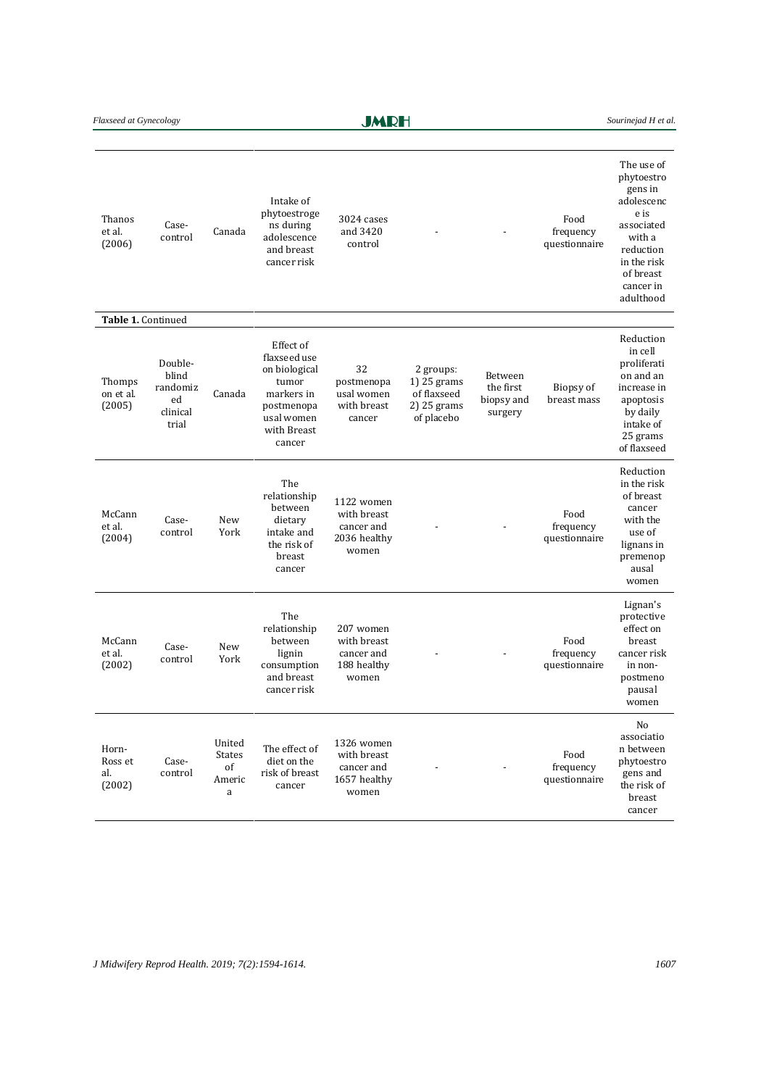Flaxseed at Gynecology **Sourine and Flather Containers Sourine and H et al.** Sourine jad H *et al.* 

**JMRH** 

| Thanos<br>et al.<br>(2006)        | Case-<br>control                                        | Canada                                | Intake of<br>phytoestroge<br>ns during<br>adolescence<br>and breast<br>cancer risk                                     | 3024 cases<br>and 3420<br>control                                |                                                                        |                                               | Food<br>frequency<br>questionnaire | The use of<br>phytoestro<br>gens in<br>adolescenc<br>e is<br>associated<br>with a<br>reduction<br>in the risk<br>of breast<br>cancer in<br>adulthood |
|-----------------------------------|---------------------------------------------------------|---------------------------------------|------------------------------------------------------------------------------------------------------------------------|------------------------------------------------------------------|------------------------------------------------------------------------|-----------------------------------------------|------------------------------------|------------------------------------------------------------------------------------------------------------------------------------------------------|
| Table 1. Continued                |                                                         |                                       |                                                                                                                        |                                                                  |                                                                        |                                               |                                    |                                                                                                                                                      |
| Thomps<br>on et al.<br>(2005)     | Double-<br>blind<br>randomiz<br>ed<br>clinical<br>trial | Canada                                | Effect of<br>flaxseed use<br>on biological<br>tumor<br>markers in<br>postmenopa<br>usal women<br>with Breast<br>cancer | 32<br>postmenopa<br>usal women<br>with breast<br>cancer          | 2 groups:<br>$1)$ 25 grams<br>of flaxseed<br>2) 25 grams<br>of placebo | Between<br>the first<br>biopsy and<br>surgery | Biopsy of<br>breast mass           | Reduction<br>in cell<br>proliferati<br>on and an<br>increase in<br>apoptosis<br>by daily<br>intake of<br>25 grams<br>of flaxseed                     |
| McCann<br>et al.<br>(2004)        | Case-<br>control                                        | New<br>York                           | The<br>relationship<br>between<br>dietary<br>intake and<br>the risk of<br>breast<br>cancer                             | 1122 women<br>with breast<br>cancer and<br>2036 healthy<br>women |                                                                        |                                               | Food<br>frequency<br>questionnaire | Reduction<br>in the risk<br>of breast<br>cancer<br>with the<br>use of<br>lignans in<br>premenop<br>ausal<br>women                                    |
| McCann<br>et al.<br>(2002)        | Case-<br>control                                        | New<br>York                           | The<br>relationship<br>between<br>lignin<br>consumption<br>and breast<br>cancer risk                                   | 207 women<br>with breast<br>cancer and<br>188 healthy<br>women   |                                                                        |                                               | Food<br>frequency<br>questionnaire | Lignan's<br>protective<br>effect on<br>breast<br>cancer risk<br>in non-<br>postmeno<br>pausal<br>women                                               |
| Horn-<br>Ross et<br>al.<br>(2002) | Case-<br>control                                        | United<br>States<br>of<br>Americ<br>a | The effect of<br>diet on the<br>risk of breast<br>cancer                                                               | 1326 women<br>with breast<br>cancer and<br>1657 healthy<br>women |                                                                        |                                               | Food<br>frequency<br>questionnaire | No<br>associatio<br>n between<br>phytoestro<br>gens and<br>the risk of<br>breast<br>cancer                                                           |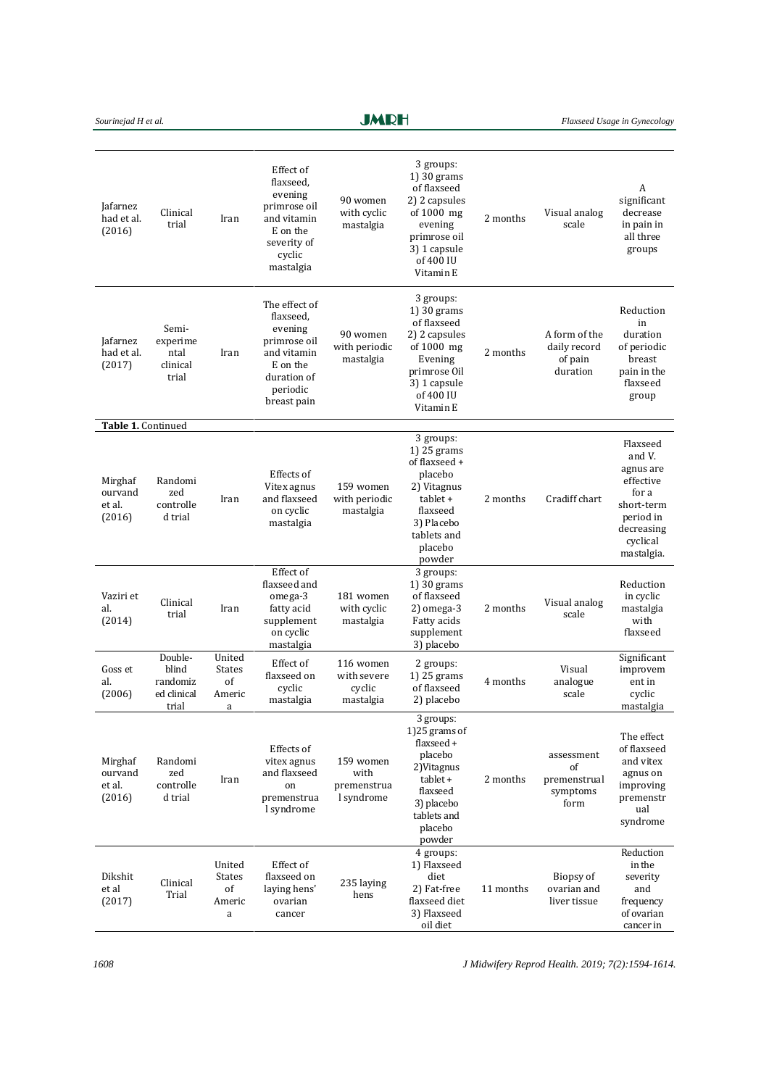| Sourinejad H et al. |  |  |  |
|---------------------|--|--|--|
|---------------------|--|--|--|

**JMRH** 

| Jafarnez<br>had et al.<br>(2016)       | Clinical<br>trial                                    | Iran                                         | Effect of<br>flaxseed,<br>evening<br>primrose oil<br>and vitamin<br>E on the<br>severity of<br>cyclic<br>mastalgia         | 90 women<br>with cyclic<br>mastalgia            | 3 groups:<br>$1)$ 30 grams<br>of flaxseed<br>2) 2 capsules<br>of $1000$ mg<br>evening<br>primrose oil<br>3) 1 capsule<br>of 400 IU<br>Vitamin E   | 2 months  | Visual analog<br>scale                               | A<br>significant<br>decrease<br>in pain in<br>all three<br>groups                                                        |
|----------------------------------------|------------------------------------------------------|----------------------------------------------|----------------------------------------------------------------------------------------------------------------------------|-------------------------------------------------|---------------------------------------------------------------------------------------------------------------------------------------------------|-----------|------------------------------------------------------|--------------------------------------------------------------------------------------------------------------------------|
| Jafarnez<br>had et al.<br>(2017)       | Semi-<br>experime<br>ntal<br>clinical<br>trial       | Iran                                         | The effect of<br>flaxseed,<br>evening<br>primrose oil<br>and vitamin<br>E on the<br>duration of<br>periodic<br>breast pain | 90 women<br>with periodic<br>mastalgia          | 3 groups:<br>$1)$ 30 grams<br>of flaxseed<br>2) 2 capsules<br>of $1000$ mg<br>Evening<br>primrose Oil<br>3) 1 capsule<br>of 400 IU<br>Vitamin E   | 2 months  | A form of the<br>daily record<br>of pain<br>duration | Reduction<br>in<br>duration<br>of periodic<br>breast<br>pain in the<br>flaxseed<br>group                                 |
| Table 1. Continued                     |                                                      |                                              |                                                                                                                            |                                                 |                                                                                                                                                   |           |                                                      |                                                                                                                          |
| Mirghaf<br>ourvand<br>et al.<br>(2016) | Randomi<br>zed<br>controlle<br>d trial               | Iran                                         | Effects of<br>Vitex agnus<br>and flaxseed<br>on cyclic<br>mastalgia                                                        | 159 women<br>with periodic<br>mastalgia         | 3 groups:<br>1) $25$ grams<br>of flaxseed +<br>placebo<br>2) Vitagnus<br>$tablet +$<br>flaxseed<br>3) Placebo<br>tablets and<br>placebo<br>powder | 2 months  | Cradiff chart                                        | Flaxseed<br>and V.<br>agnus are<br>effective<br>for a<br>short-term<br>period in<br>decreasing<br>cyclical<br>mastalgia. |
| Vaziri et<br>al.<br>(2014)             | Clinical<br>trial                                    | Iran                                         | Effect of<br>flaxseed and<br>omega-3<br>fatty acid<br>supplement<br>on cyclic<br>mastalgia                                 | 181 women<br>with cyclic<br>mastalgia           | 3 groups:<br>$1$ ) 30 grams<br>of flaxseed<br>$2)$ omega-3<br>Fatty acids<br>supplement<br>3) placebo                                             | 2 months  | Visual analog<br>scale                               | Reduction<br>in cyclic<br>mastalgia<br>with<br>flaxseed                                                                  |
| Goss et<br>al.<br>(2006)               | Double-<br>blind<br>randomiz<br>ed clinical<br>trial | United<br><b>States</b><br>of<br>Americ<br>a | Effect of<br>flaxseed on<br>cyclic<br>mastalgia                                                                            | 116 women<br>with severe<br>cyclic<br>mastalgia | 2 groups:<br>1) $25$ grams<br>of flaxseed<br>2) placebo                                                                                           | 4 months  | Visual<br>analogue<br>scale                          | Significant<br>improvem<br>ent in<br>cyclic<br>mastalgia                                                                 |
| Mirghaf<br>ourvand<br>et al.<br>(2016) | Randomi<br>zed<br>controlle<br>d trial               | Iran                                         | Effects of<br>vitex agnus<br>and flaxseed<br>on<br>premenstrua<br>l syndrome                                               | 159 women<br>with<br>premenstrua<br>l syndrome  | 3 groups:<br>1)25 grams of<br>flaxseed +<br>placebo<br>2) Vitagnus<br>tablet +<br>flaxseed<br>3) placebo<br>tablets and<br>placebo<br>powder      | 2 months  | assessment<br>of<br>premenstrual<br>symptoms<br>form | The effect<br>of flaxseed<br>and vitex<br>agnus on<br>improving<br>premenstr<br>ual<br>syndrome                          |
| Dikshit<br>et al<br>(2017)             | Clinical<br>Trial                                    | United<br><b>States</b><br>of<br>Americ<br>a | Effect of<br>flaxseed on<br>laying hens'<br>ovarian<br>cancer                                                              | 235 laying<br>hens                              | 4 groups:<br>1) Flaxseed<br>diet<br>2) Fat-free<br>flaxseed diet<br>3) Flaxseed<br>oil diet                                                       | 11 months | Biopsy of<br>ovarian and<br>liver tissue             | Reduction<br>in the<br>severity<br>and<br>frequency<br>of ovarian<br>cancer in                                           |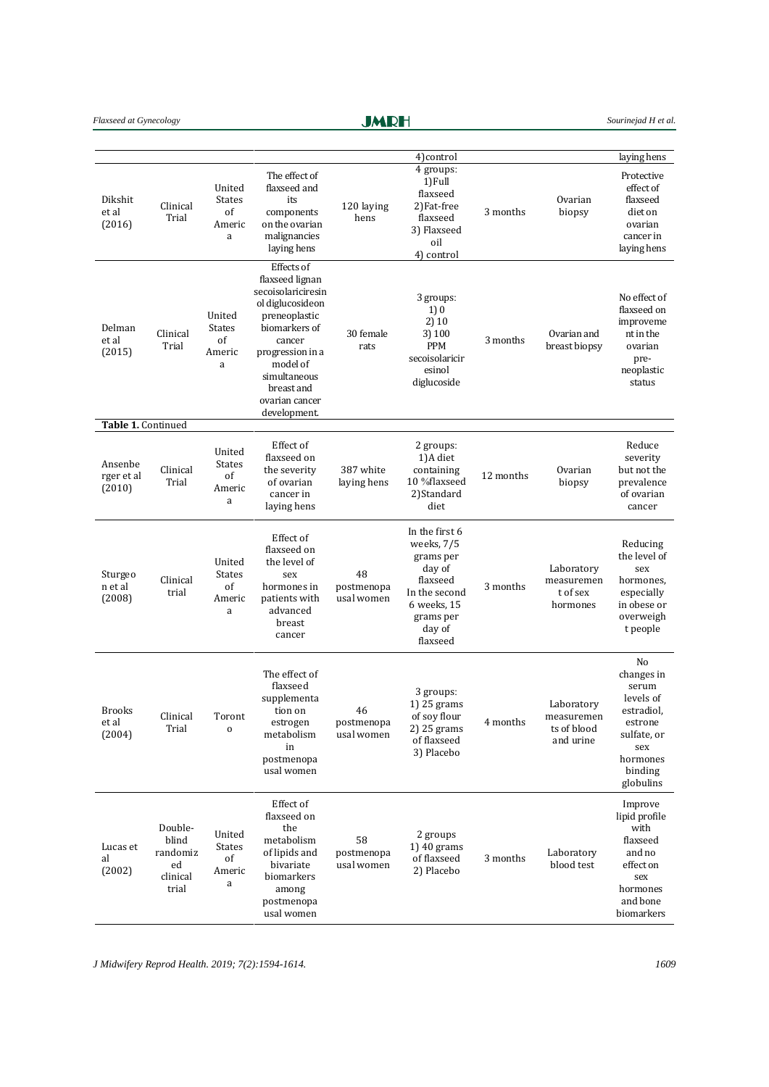## Flaxseed at Gynecology **Sourine and H Sourine is a set of the Sourine of H Sourine is a sourine jad H et al.**

**JMRH** 

|                                 |                                                         |                                              |                                                                                                                                                                                                                     |                                | 4) control                                                                                                                         |           |                                                      | laying hens                                                                                                               |
|---------------------------------|---------------------------------------------------------|----------------------------------------------|---------------------------------------------------------------------------------------------------------------------------------------------------------------------------------------------------------------------|--------------------------------|------------------------------------------------------------------------------------------------------------------------------------|-----------|------------------------------------------------------|---------------------------------------------------------------------------------------------------------------------------|
| Dikshit<br>et al<br>(2016)      | Clinical<br>Trial                                       | United<br><b>States</b><br>of<br>Americ<br>a | The effect of<br>flaxseed and<br>its<br>components<br>on the ovarian<br>malignancies<br>laying hens                                                                                                                 | 120 laying<br>hens             | 4 groups:<br>1) Full<br>flaxseed<br>2)Fat-free<br>flaxseed<br>3) Flaxseed<br>oil<br>4) control                                     | 3 months  | Ovarian<br>biopsy                                    | Protective<br>effect of<br>flaxseed<br>diet on<br>ovarian<br>cancer in<br>laying hens                                     |
| Delman<br>et al<br>(2015)       | Clinical<br>Trial                                       | United<br><b>States</b><br>of<br>Americ<br>a | Effects of<br>flaxseed lignan<br>secoisolariciresin<br>ol diglucosideon<br>preneoplastic<br>biomarkers of<br>cancer<br>progression in a<br>model of<br>simultaneous<br>breast and<br>ovarian cancer<br>development. | 30 female<br>rats              | 3 groups:<br>1)0<br>2)10<br>3) 100<br><b>PPM</b><br>secoisolaricir<br>esinol<br>diglucoside                                        | 3 months  | Ovarian and<br>breast biopsy                         | No effect of<br>flaxseed on<br>improveme<br>nt in the<br>ovarian<br>pre-<br>neoplastic<br>status                          |
| Table 1. Continued              |                                                         |                                              |                                                                                                                                                                                                                     |                                |                                                                                                                                    |           |                                                      |                                                                                                                           |
| Ansenbe<br>rger et al<br>(2010) | Clinical<br>Trial                                       | United<br><b>States</b><br>of<br>Americ<br>a | Effect of<br>flaxseed on<br>the severity<br>of ovarian<br>cancer in<br>laying hens                                                                                                                                  | 387 white<br>laying hens       | 2 groups:<br>1)A diet<br>containing<br>10 %flaxseed<br>2)Standard<br>diet                                                          | 12 months | Ovarian<br>biopsy                                    | Reduce<br>severity<br>but not the<br>prevalence<br>of ovarian<br>cancer                                                   |
| Sturgeo<br>n et al<br>(2008)    | Clinical<br>trial                                       | United<br>States<br>of<br>Americ<br>a        | Effect of<br>flaxseed on<br>the level of<br>sex<br>hormones in<br>patients with<br>advanced<br>breast<br>cancer                                                                                                     | 48<br>postmenopa<br>usal women | In the first 6<br>weeks, 7/5<br>grams per<br>day of<br>flaxseed<br>In the second<br>6 weeks, 15<br>grams per<br>day of<br>flaxseed | 3 months  | Laboratory<br>measuremen<br>t of sex<br>hormones     | Reducing<br>the level of<br>sex<br>hormones,<br>especially<br>in obese or<br>overweigh<br>t people                        |
| Brooks<br>et al<br>(2004)       | Clinical<br>Trial                                       | Toront<br>$\mathbf 0$                        | The effect of<br>flaxseed<br>supplementa<br>tion on<br>estrogen<br>metabolism<br>in<br>postmenopa<br>usal women                                                                                                     | 46<br>postmenopa<br>usal women | 3 groups:<br>1) 25 grams<br>of soy flour<br>2) 25 grams<br>of flaxseed<br>3) Placebo                                               | 4 months  | Laboratory<br>measuremen<br>ts of blood<br>and urine | No<br>changes in<br>serum<br>levels of<br>estradiol,<br>estrone<br>sulfate, or<br>sex<br>hormones<br>binding<br>globulins |
| Lucas et<br>al<br>(2002)        | Double-<br>blind<br>randomiz<br>ed<br>clinical<br>trial | United<br><b>States</b><br>of<br>Americ<br>a | Effect of<br>flaxseed on<br>the<br>metabolism<br>of lipids and<br>bivariate<br>biomarkers<br>among<br>postmenopa<br>usal women                                                                                      | 58<br>postmenopa<br>usal women | 2 groups<br>1) $40$ grams<br>of flaxseed<br>2) Placebo                                                                             | 3 months  | Laboratory<br>blood test                             | Improve<br>lipid profile<br>with<br>flaxseed<br>and no<br>effect on<br>sex<br>hormones<br>and bone<br>biomarkers          |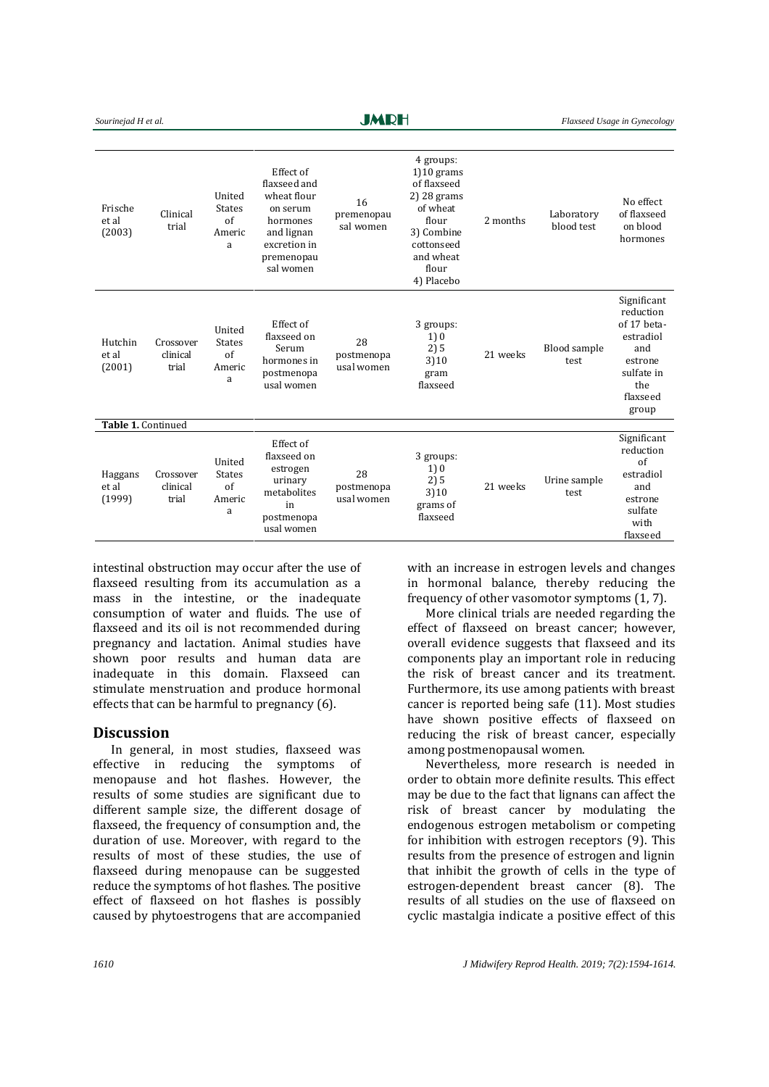| Sourinejad H et al.        |                                |                                              |                                                                                                                           | JMRH                           |                                                                                                                                              |          |                          | Flaxseed Usage in Gynecology                                                                                     |
|----------------------------|--------------------------------|----------------------------------------------|---------------------------------------------------------------------------------------------------------------------------|--------------------------------|----------------------------------------------------------------------------------------------------------------------------------------------|----------|--------------------------|------------------------------------------------------------------------------------------------------------------|
| Frische<br>et al<br>(2003) | Clinical<br>trial              | United<br><b>States</b><br>of<br>Americ<br>a | Effect of<br>flaxseed and<br>wheat flour<br>on serum<br>hormones<br>and lignan<br>excretion in<br>premenopau<br>sal women | 16<br>premenopau<br>sal women  | 4 groups:<br>$1)10$ grams<br>of flaxseed<br>2) 28 grams<br>of wheat<br>flour<br>3) Combine<br>cottonseed<br>and wheat<br>flour<br>4) Placebo | 2 months | Laboratory<br>blood test | No effect<br>of flaxseed<br>on blood<br>hormones                                                                 |
| Hutchin<br>et al<br>(2001) | Crossover<br>clinical<br>trial | United<br><b>States</b><br>of<br>Americ<br>a | Effect of<br>flaxseed on<br>Serum<br>hormones in<br>postmenopa<br>usal women                                              | 28<br>postmenopa<br>usal women | 3 groups:<br>1)0<br>2)5<br>3)10<br>gram<br>flaxseed                                                                                          | 21 weeks | Blood sample<br>test     | Significant<br>reduction<br>of 17 beta-<br>estradiol<br>and<br>estrone<br>sulfate in<br>the<br>flaxseed<br>group |
| Table 1. Continued         |                                |                                              |                                                                                                                           |                                |                                                                                                                                              |          |                          |                                                                                                                  |
| Haggans<br>et al<br>(1999) | Crossover<br>clinical<br>trial | United<br><b>States</b><br>of<br>Americ<br>a | Effect of<br>flaxseed on<br>estrogen<br>urinary<br>metabolites<br>in<br>postmenopa<br>usal women                          | 28<br>postmenopa<br>usal women | 3 groups:<br>1)0<br>2)5<br>3)10<br>grams of<br>flaxseed                                                                                      | 21 weeks | Urine sample<br>test     | Significant<br>reduction<br>of<br>estradiol<br>and<br>estrone<br>sulfate<br>with<br>flaxseed                     |

**BAARDEL** 

intestinal obstruction may occur after the use of flaxseed resulting from its accumulation as a mass in the intestine, or the inadequate consumption of water and fluids. The use of flaxseed and its oil is not recommended during pregnancy and lactation. Animal studies have shown poor results and human data are inadequate in this domain. Flaxseed can stimulate menstruation and produce hormonal effects that can be harmful to pregnancy [\(6\)](#page-18-1).

#### **Discussion**

In general, in most studies, flaxseed was effective in reducing the symptoms of menopause and hot flashes. However, the results of some studies are significant due to different sample size, the different dosage of flaxseed, the frequency of consumption and, the duration of use. Moreover, with regard to the results of most of these studies, the use of flaxseed during menopause can be suggested reduce the symptoms of hot flashes. The positive effect of flaxseed on hot flashes is possibly caused by phytoestrogens that are accompanied

with an increase in estrogen levels and changes in hormonal balance, thereby reducing the frequency of other vasomotor symptoms [\(1,](#page-17-0) [7\)](#page-18-2).

More clinical trials are needed regarding the effect of flaxseed on breast cancer; however, overall evidence suggests that flaxseed and its components play an important role in reducing the risk of breast cancer and its treatment. Furthermore, its use among patients with breast cancer is reported being safe [\(11\)](#page-18-4). Most studies have shown positive effects of flaxseed on reducing the risk of breast cancer, especially among postmenopausal women.

Nevertheless, more research is needed in order to obtain more definite results. This effect may be due to the fact that lignans can affect the risk of breast cancer by modulating the endogenous estrogen metabolism or competing for inhibition with estrogen receptors [\(9\)](#page-18-21). This results from the presence of estrogen and lignin that inhibit the growth of cells in the type of estrogen-dependent breast cancer [\(8\)](#page-18-3). The results of all studies on the use of flaxseed on cyclic mastalgia indicate a positive effect of this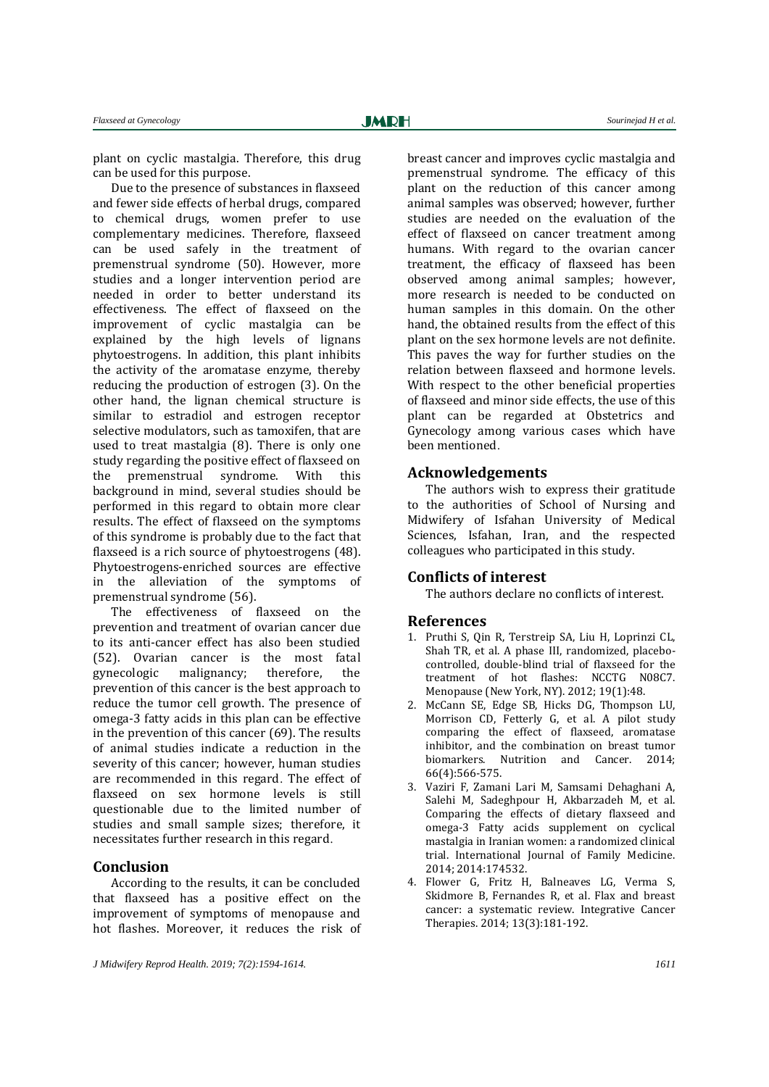**JMRH** 

plant on cyclic mastalgia. Therefore, this drug can be used for this purpose.

Due to the presence of substances in flaxseed and fewer side effects of herbal drugs, compared to chemical drugs, women prefer to use complementary medicines. Therefore, flaxseed can be used safely in the treatment of premenstrual syndrome [\(50\)](#page-19-18). However, more studies and a longer intervention period are needed in order to better understand its effectiveness. The effect of flaxseed on the improvement of cyclic mastalgia can be explained by the high levels of lignans phytoestrogens. In addition, this plant inhibits the activity of the aromatase enzyme, thereby reducing the production of estrogen [\(3\)](#page-17-2). On the other hand, the lignan chemical structure is similar to estradiol and estrogen receptor selective modulators, such as tamoxifen, that are used to treat mastalgia [\(8\)](#page-18-3). There is only one study regarding the positive effect of flaxseed on the premenstrual syndrome. With this background in mind, several studies should be performed in this regard to obtain more clear results. The effect of flaxseed on the symptoms of this syndrome is probably due to the fact that flaxseed is a rich source of phytoestrogens [\(48\)](#page-19-16). Phytoestrogens-enriched sources are effective in the alleviation of the symptoms of premenstrual syndrome [\(56\)](#page-20-4).

The effectiveness of flaxseed on the prevention and treatment of ovarian cancer due to its anti-cancer effect has also been studied [\(52\)](#page-20-0). Ovarian cancer is the most fatal gynecologic malignancy; therefore, the prevention of this cancer is the best approach to reduce the tumor cell growth. The presence of omega-3 fatty acids in this plan can be effective in the prevention of this cancer [\(69\)](#page-20-17). The results of animal studies indicate a reduction in the severity of this cancer; however, human studies are recommended in this regard. The effect of flaxseed on sex hormone levels is still questionable due to the limited number of studies and small sample sizes; therefore, it necessitates further research in this regard.

#### **Conclusion**

According to the results, it can be concluded that flaxseed has a positive effect on the improvement of symptoms of menopause and hot flashes. Moreover, it reduces the risk of breast cancer and improves cyclic mastalgia and premenstrual syndrome. The efficacy of this plant on the reduction of this cancer among animal samples was observed; however, further studies are needed on the evaluation of the effect of flaxseed on cancer treatment among humans. With regard to the ovarian cancer treatment, the efficacy of flaxseed has been observed among animal samples; however, more research is needed to be conducted on human samples in this domain. On the other hand, the obtained results from the effect of this plant on the sex hormone levels are not definite. This paves the way for further studies on the relation between flaxseed and hormone levels. With respect to the other beneficial properties of flaxseed and minor side effects, the use of this plant can be regarded at Obstetrics and Gynecology among various cases which have been mentioned.

#### **Acknowledgements**

The authors wish to express their gratitude to the authorities of School of Nursing and Midwifery of Isfahan University of Medical Sciences, Isfahan, Iran, and the respected colleagues who participated in this study.

#### **Conflicts of interest**

The authors declare no conflicts of interest.

#### **References**

- <span id="page-17-0"></span>1. Pruthi S, Qin R, Terstreip SA, Liu H, Loprinzi CL, Shah TR, et al. A phase III, randomized, placebocontrolled, double-blind trial of flaxseed for the treatment of hot flashes: NCCTG N08C7. Menopause (New York, NY). 2012; 19(1):48.
- <span id="page-17-1"></span>2. McCann SE, Edge SB, Hicks DG, Thompson LU, Morrison CD, Fetterly G, et al. A pilot study comparing the effect of flaxseed, aromatase inhibitor, and the combination on breast tumor biomarkers. Nutrition and Cancer. 2014; 66(4):566-575.
- <span id="page-17-2"></span>3. Vaziri F, Zamani Lari M, Samsami Dehaghani A, Salehi M, Sadeghpour H, Akbarzadeh M, et al. Comparing the effects of dietary flaxseed and omega-3 Fatty acids supplement on cyclical mastalgia in Iranian women: a randomized clinical trial. International Journal of Family Medicine. 2014; 2014:174532.
- <span id="page-17-3"></span>4. Flower G, Fritz H, Balneaves LG, Verma S, Skidmore B, Fernandes R, et al. Flax and breast cancer: a systematic review. Integrative Cancer Therapies. 2014; 13(3):181-192.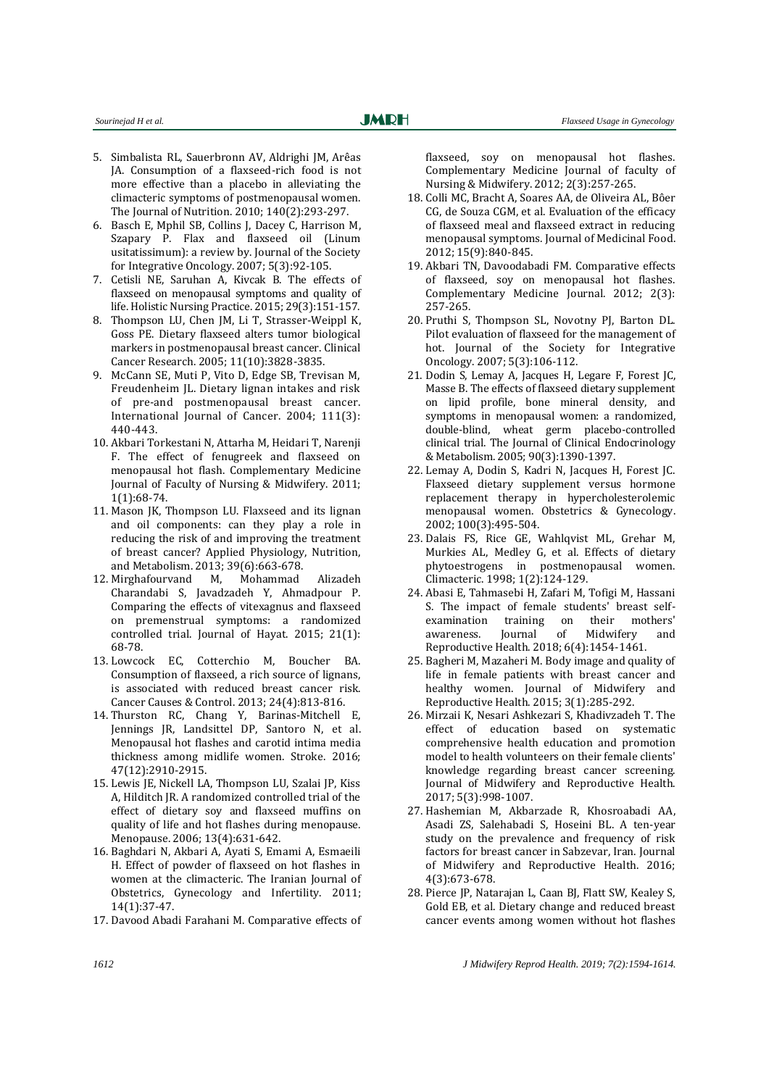- <span id="page-18-0"></span>5. Simbalista RL, Sauerbronn AV, Aldrighi JM, Arêas JA. Consumption of a flaxseed-rich food is not more effective than a placebo in alleviating the climacteric symptoms of postmenopausal women. The Journal of Nutrition. 2010; 140(2):293-297.
- <span id="page-18-1"></span>6. Basch E, Mphil SB, Collins J, Dacey C, Harrison M, Szapary P. Flax and flaxseed oil (Linum usitatissimum): a review by. Journal of the Society for Integrative Oncology. 2007; 5(3):92-105.
- <span id="page-18-2"></span>7. Cetisli NE, Saruhan A, Kivcak B. The effects of flaxseed on menopausal symptoms and quality of life. Holistic Nursing Practice. 2015; 29(3):151-157.
- <span id="page-18-3"></span>8. Thompson LU, Chen JM, Li T, Strasser-Weippl K, Goss PE. Dietary flaxseed alters tumor biological markers in postmenopausal breast cancer. Clinical Cancer Research. 2005; 11(10):3828-3835.
- <span id="page-18-21"></span>9. McCann SE, Muti P, Vito D, Edge SB, Trevisan M, Freudenheim JL. Dietary lignan intakes and risk of pre‐and postmenopausal breast cancer. International Journal of Cancer. 2004; 111(3): 440-443.
- 10. Akbari Torkestani N, Attarha M, Heidari T, Narenji F. The effect of fenugreek and flaxseed on menopausal hot flash. Complementary Medicine Journal of Faculty of Nursing & Midwifery. 2011; 1(1):68-74.
- <span id="page-18-4"></span>11. Mason JK, Thompson LU. Flaxseed and its lignan and oil components: can they play a role in reducing the risk of and improving the treatment of breast cancer? Applied Physiology, Nutrition, and Metabolism. 2013; 39(6):663-678.
- <span id="page-18-5"></span>12. Mirghafourvand M, Mohammad Alizadeh Charandabi S, Javadzadeh Y, Ahmadpour P. Comparing the effects of vitexagnus and flaxseed on premenstrual symptoms: a randomized controlled trial. Journal of Hayat. 2015; 21(1): 68-78.
- <span id="page-18-6"></span>13. Lowcock EC, Cotterchio M, Boucher BA. Consumption of flaxseed, a rich source of lignans, is associated with reduced breast cancer risk. Cancer Causes & Control. 2013; 24(4):813-816.
- <span id="page-18-7"></span>14. Thurston RC, Chang Y, Barinas-Mitchell E, Jennings JR, Landsittel DP, Santoro N, et al. Menopausal hot flashes and carotid intima media thickness among midlife women. Stroke. 2016; 47(12):2910-2915.
- <span id="page-18-8"></span>15. Lewis JE, Nickell LA, Thompson LU, Szalai JP, Kiss A, Hilditch JR. A randomized controlled trial of the effect of dietary soy and flaxseed muffins on quality of life and hot flashes during menopause. Menopause. 2006; 13(4):631-642.
- <span id="page-18-9"></span>16. Baghdari N, Akbari A, Ayati S, Emami A, Esmaeili H. Effect of powder of flaxseed on hot flashes in women at the climacteric. The Iranian Journal of Obstetrics, Gynecology and Infertility. 2011; 14(1):37-47.
- <span id="page-18-10"></span>17. Davood Abadi Farahani M. Comparative effects of

flaxseed, soy on menopausal hot flashes. Complementary Medicine Journal of faculty of Nursing & Midwifery. 2012; 2(3):257-265.

- <span id="page-18-11"></span>18. Colli MC, Bracht A, Soares AA, de Oliveira AL, Bôer CG, de Souza CGM, et al. Evaluation of the efficacy of flaxseed meal and flaxseed extract in reducing menopausal symptoms. Journal of Medicinal Food. 2012; 15(9):840-845.
- <span id="page-18-12"></span>19. Akbari TN, Davoodabadi FM. Comparative effects of flaxseed, soy on menopausal hot flashes. Complementary Medicine Journal. 2012; 2(3): 257-265.
- <span id="page-18-13"></span>20. Pruthi S, Thompson SL, Novotny PJ, Barton DL. Pilot evaluation of flaxseed for the management of hot. Journal of the Society for Integrative Oncology. 2007; 5(3):106-112.
- <span id="page-18-14"></span>21. Dodin S, Lemay A, Jacques H, Legare F, Forest JC, Masse B. The effects of flaxseed dietary supplement on lipid profile, bone mineral density, and symptoms in menopausal women: a randomized, double-blind, wheat germ placebo-controlled clinical trial. The Journal of Clinical Endocrinology & Metabolism. 2005; 90(3):1390-1397.
- <span id="page-18-15"></span>22. Lemay A, Dodin S, Kadri N, Jacques H, Forest JC. Flaxseed dietary supplement versus hormone replacement therapy in hypercholesterolemic menopausal women. Obstetrics & Gynecology. 2002; 100(3):495-504.
- <span id="page-18-16"></span>23. Dalais FS, Rice GE, Wahlqvist ML, Grehar M, Murkies AL, Medley G, et al. Effects of dietary phytoestrogens in postmenopausal women. Climacteric. 1998; 1(2):124-129.
- <span id="page-18-17"></span>24. Abasi E, Tahmasebi H, Zafari M, Tofigi M, Hassani S. The impact of female students' breast selfexamination training on their mothers' awareness. Journal of Midwifery and Reproductive Health. 2018; 6(4):1454-1461.
- <span id="page-18-18"></span>25. Bagheri M, Mazaheri M. Body image and quality of life in female patients with breast cancer and healthy women. Journal of Midwifery and Reproductive Health. 2015; 3(1):285-292.
- <span id="page-18-19"></span>26. Mirzaii K, Nesari Ashkezari S, Khadivzadeh T. The effect of education based on systematic comprehensive health education and promotion model to health volunteers on their female clients' knowledge regarding breast cancer screening. Journal of Midwifery and Reproductive Health. 2017; 5(3):998-1007.
- <span id="page-18-20"></span>27. Hashemian M, Akbarzade R, Khosroabadi AA, Asadi ZS, Salehabadi S, Hoseini BL. A ten-year study on the prevalence and frequency of risk factors for breast cancer in Sabzevar, Iran. Journal of Midwifery and Reproductive Health. 2016; 4(3):673-678.
- <span id="page-18-22"></span>28. Pierce JP, Natarajan L, Caan BJ, Flatt SW, Kealey S, Gold EB, et al. Dietary change and reduced breast cancer events among women without hot flashes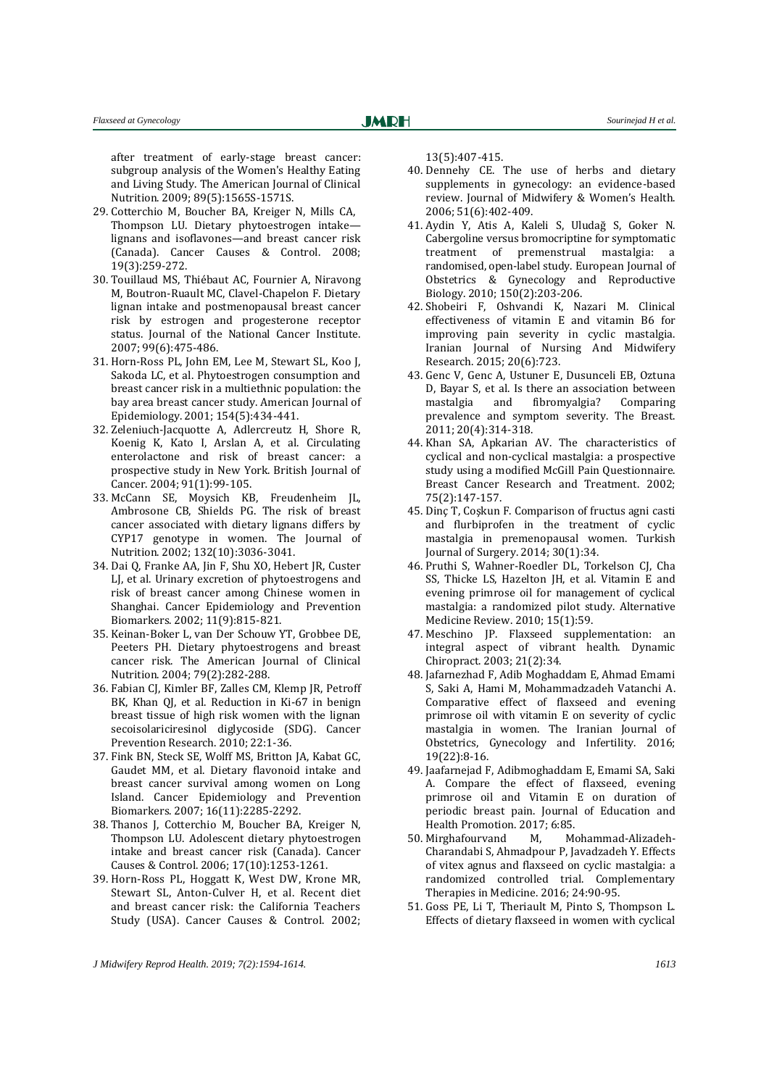after treatment of early-stage breast cancer: subgroup analysis of the Women's Healthy Eating and Living Study. The American Journal of Clinical Nutrition. 2009; 89(5):1565S-1571S.

- <span id="page-19-0"></span>29. Cotterchio M, Boucher BA, Kreiger N, Mills CA, Thompson LU. Dietary phytoestrogen intake lignans and isoflavones—and breast cancer risk (Canada). Cancer Causes & Control. 2008; 19(3):259-272.
- <span id="page-19-1"></span>30. Touillaud MS, Thiébaut AC, Fournier A, Niravong M, Boutron-Ruault MC, Clavel-Chapelon F. Dietary lignan intake and postmenopausal breast cancer risk by estrogen and progesterone receptor status. Journal of the National Cancer Institute. 2007; 99(6):475-486.
- 31. Horn-Ross PL, John EM, Lee M, Stewart SL, Koo J, Sakoda LC, et al. Phytoestrogen consumption and breast cancer risk in a multiethnic population: the bay area breast cancer study. American Journal of Epidemiology. 2001; 154(5):434-441.
- <span id="page-19-2"></span>32. Zeleniuch-Jacquotte A, Adlercreutz H, Shore R, Koenig K, Kato I, Arslan A, et al. Circulating enterolactone and risk of breast cancer: a prospective study in New York. British Journal of Cancer. 2004; 91(1):99-105.
- <span id="page-19-6"></span>33. McCann SE, Moysich KB, Freudenheim JL, Ambrosone CB, Shields PG. The risk of breast cancer associated with dietary lignans differs by CYP17 genotype in women. The Journal of Nutrition. 2002; 132(10):3036-3041.
- 34. Dai Q, Franke AA, Jin F, Shu XO, Hebert JR, Custer LJ, et al. Urinary excretion of phytoestrogens and risk of breast cancer among Chinese women in Shanghai. Cancer Epidemiology and Prevention Biomarkers. 2002; 11(9):815-821.
- 35. Keinan-Boker L, van Der Schouw YT, Grobbee DE, Peeters PH. Dietary phytoestrogens and breast cancer risk. The American Journal of Clinical Nutrition. 2004; 79(2):282-288.
- <span id="page-19-3"></span>36. Fabian CJ, Kimler BF, Zalles CM, Klemp JR, Petroff BK, Khan QJ, et al. Reduction in Ki-67 in benign breast tissue of high risk women with the lignan secoisolariciresinol diglycoside (SDG). Cancer Prevention Research. 2010; 22:1-36.
- <span id="page-19-4"></span>37. Fink BN, Steck SE, Wolff MS, Britton JA, Kabat GC, Gaudet MM, et al. Dietary flavonoid intake and breast cancer survival among women on Long Island. Cancer Epidemiology and Prevention Biomarkers. 2007; 16(11):2285-2292.
- <span id="page-19-5"></span>38. Thanos J, Cotterchio M, Boucher BA, Kreiger N, Thompson LU. Adolescent dietary phytoestrogen intake and breast cancer risk (Canada). Cancer Causes & Control. 2006; 17(10):1253-1261.
- <span id="page-19-7"></span>39. Horn-Ross PL, Hoggatt K, West DW, Krone MR, Stewart SL, Anton-Culver H, et al. Recent diet and breast cancer risk: the California Teachers Study (USA). Cancer Causes & Control. 2002;

13(5):407-415.

- <span id="page-19-8"></span>40. Dennehy CE. The use of herbs and dietary supplements in gynecology: an evidence-based review. Journal of Midwifery & Women's Health. 2006; 51(6):402-409.
- <span id="page-19-9"></span>41. Aydin Y, Atis A, Kaleli S, Uludağ S, Goker N. Cabergoline versus bromocriptine for symptomatic treatment of premenstrual mastalgia: a randomised, open-label study. European Journal of Obstetrics & Gynecology and Reproductive Biology. 2010; 150(2):203-206.
- <span id="page-19-10"></span>42. Shobeiri F, Oshvandi K, Nazari M. Clinical effectiveness of vitamin E and vitamin B6 for improving pain severity in cyclic mastalgia. Iranian Journal of Nursing And Midwifery Research. 2015; 20(6):723.
- <span id="page-19-11"></span>43. Genc V, Genc A, Ustuner E, Dusunceli EB, Oztuna D, Bayar S, et al. Is there an association between mastalgia and fibromyalgia? Comparing prevalence and symptom severity. The Breast. 2011; 20(4):314-318.
- <span id="page-19-12"></span>44. Khan SA, Apkarian AV. The characteristics of cyclical and non-cyclical mastalgia: a prospective study using a modified McGill Pain Questionnaire. Breast Cancer Research and Treatment. 2002; 75(2):147-157.
- <span id="page-19-13"></span>45. Dinç T, Coşkun F. Comparison of fructus agni casti and flurbiprofen in the treatment of cyclic mastalgia in premenopausal women. Turkish Journal of Surgery. 2014; 30(1):34.
- <span id="page-19-14"></span>46. Pruthi S, Wahner-Roedler DL, Torkelson CJ, Cha SS, Thicke LS, Hazelton JH, et al. Vitamin E and evening primrose oil for management of cyclical mastalgia: a randomized pilot study. Alternative Medicine Review. 2010; 15(1):59.
- <span id="page-19-15"></span>47. Meschino JP. Flaxseed supplementation: an integral aspect of vibrant health. Dynamic Chiropract. 2003; 21(2):34.
- <span id="page-19-16"></span>48. Jafarnezhad F, Adib Moghaddam E, Ahmad Emami S, Saki A, Hami M, Mohammadzadeh Vatanchi A. Comparative effect of flaxseed and evening primrose oil with vitamin E on severity of cyclic mastalgia in women. The Iranian Journal of Obstetrics, Gynecology and Infertility. 2016; 19(22):8-16.
- <span id="page-19-17"></span>49. Jaafarnejad F, Adibmoghaddam E, Emami SA, Saki A. Compare the effect of flaxseed, evening primrose oil and Vitamin E on duration of periodic breast pain. Journal of Education and Health Promotion. 2017; 6:85.
- <span id="page-19-18"></span>50. Mirghafourvand M, Mohammad-Alizadeh-Charandabi S, Ahmadpour P, Javadzadeh Y. Effects of vitex agnus and flaxseed on cyclic mastalgia: a randomized controlled trial. Complementary Therapies in Medicine. 2016; 24:90-95.
- <span id="page-19-19"></span>51. Goss PE, Li T, Theriault M, Pinto S, Thompson L. Effects of dietary flaxseed in women with cyclical

*J Midwifery Reprod Health. 2019; 7(2):1594-1614. 1613*